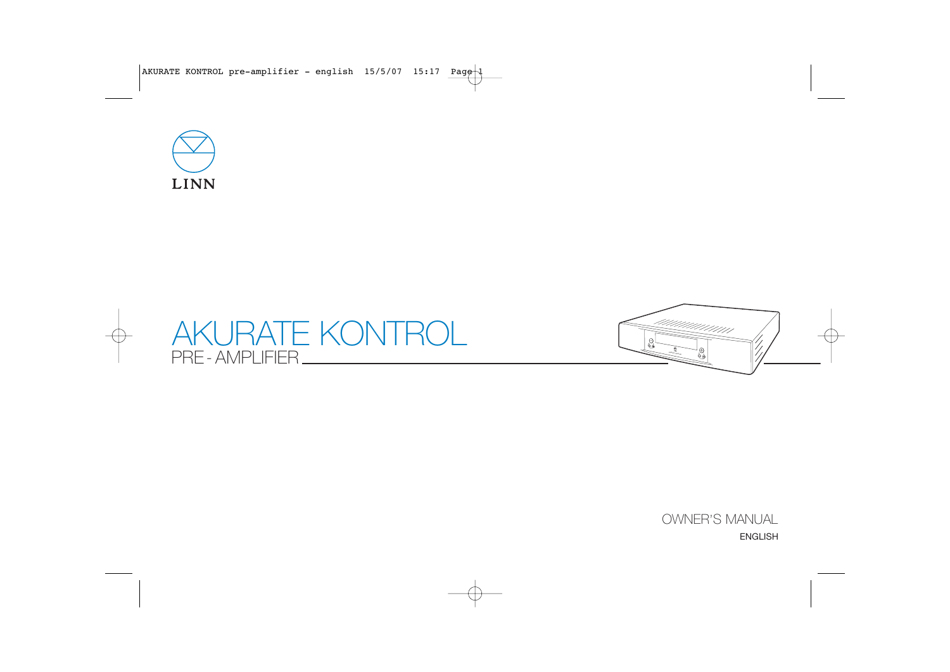





OWNER'S MANUAL ENGLISH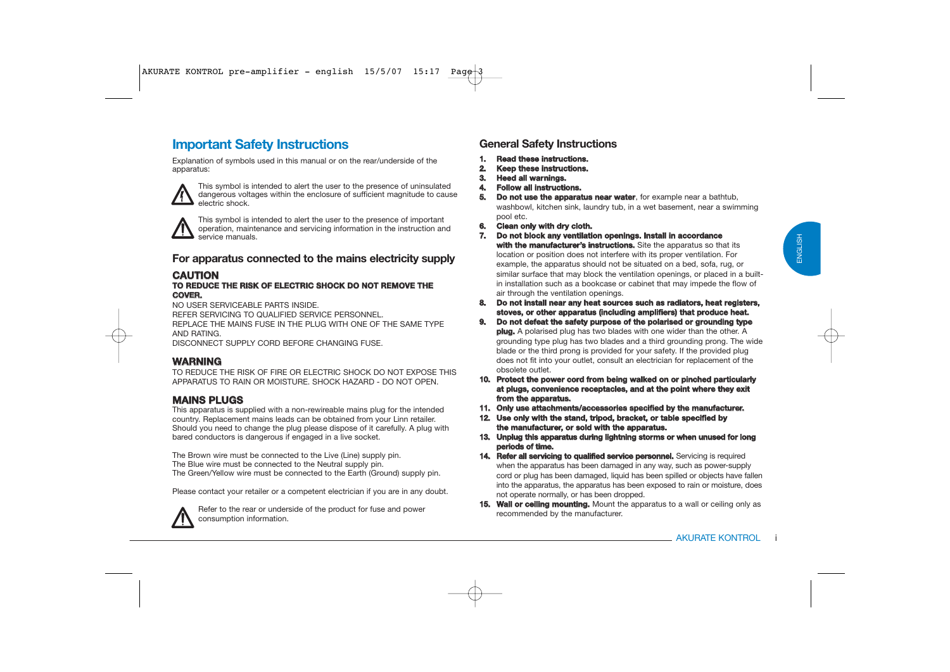# **Important Safety Instructions**

Explanation of symbols used in this manual or on the rear/underside of the apparatus:



This symbol is intended to alert the user to the presence of uninsulated dangerous voltages within the enclosure of sufficient magnitude to cause electric shock.



This symbol is intended to alert the user to the presence of important operation, maintenance and servicing information in the instruction and service manuals.

### **For apparatus connected to the mains electricity supply**

### **CAUTIO**

# **N TO REDUCE THE RISK OF ELECTRIC SHOCK DO NOT REMOVE THECOVER.**

NO USER SERVICEABLE PARTS INSIDE.

REFER SERVICING TO QUALIFIED SERVICE PERSONNEL.

REPLACE THE MAINS FUSE IN THE PLUG WITH ONE OF THE SAME TYPEAND RATING.

DISCONNECT SUPPLY CORD BEFORE CHANGING FUSE.

### **WARNING**

TO REDUCE THE RISK OF FIRE OR ELECTRIC SHOCK DO NOT EXPOSE THISAPPARATUS TO RAIN OR MOISTURE. SHOCK HAZARD - DO NOT OPEN.

### **MAINS PLUGS**

This apparatus is supplied with a non-rewireable mains plug for the intended country. Replacement mains leads can be obtained from your Linn retailer. Should you need to change the plug please dispose of it carefully. A plug with bared conductors is dangerous if engaged in a live socket.

The Brown wire must be connected to the Live (Line) supply pin. The Blue wire must be connected to the Neutral supply pin. The Green/Yellow wire must be connected to the Earth (Ground) supply pin.

Please contact your retailer or a competent electrician if you are in any doubt.



Refer to the rear or underside of the product for fuse and power consumption information.

### **General Safety Instructions**

- **1. Read these instructions.**
- **2. Keep these instructions.**
- **3. Heed all warnings.**
- **4. Follow all instructions.**
- **5. Do not use the apparatus near water**, for example near a bathtub. washbowl, kitchen sink, laundry tub, in a wet basement, near a swimming pool etc.
- **6. Clean only with dry cloth.**
- **7. Do not block any ventilation openings. Install in accordance with the manufacturer's instructions.** Site the apparatus so that its location or position does not interfere with its proper ventilation. For example, the apparatus should not be situated on a bed, sofa, rug, or similar surface that may block the ventilation openings, or placed in a builtin installation such as a bookcase or cabinet that may impede the flow of air through the ventilation openings.
- **8. Do not install near any heat sources such as radiators, heat registers, stoves, or other apparatus (including amplifiers) that produce heat.**
- **9. Do not defeat the safety purpose of the polarised or grounding type plug.** A polarised plug has two blades with one wider than the other. A grounding type plug has two blades and a third grounding prong. The wide blade or the third prong is provided for your safety. If the provided plug does not fit into your outlet, consult an electrician for replacement of the obsolete outlet.
- **10. Protect the power cord from being walked on or pinched particularly at plugs, convenience receptacles, and at the point where they exit from the apparatus.**
- **11. Only use attachments/accessories specified by the manufacturer.**
- **12. Use only with the stand, tripod, bracket, or table specified by the manufacturer, or sold with the apparatus.**
- **13. Unplug this apparatus during lightning storms or when unused for long periods of time.**
- **14. Refer all servicing to qualified service personnel.** Servicing is required when the apparatus has been damaged in any way, such as power-supply cord or plug has been damaged, liquid has been spilled or objects have fallen into the apparatus, the apparatus has been exposed to rain or moisture, does not operate normally, or has been dropped.
- **15. Wall or ceiling mounting.** Mount the apparatus to a wall or ceiling only as recommended by the manufacturer.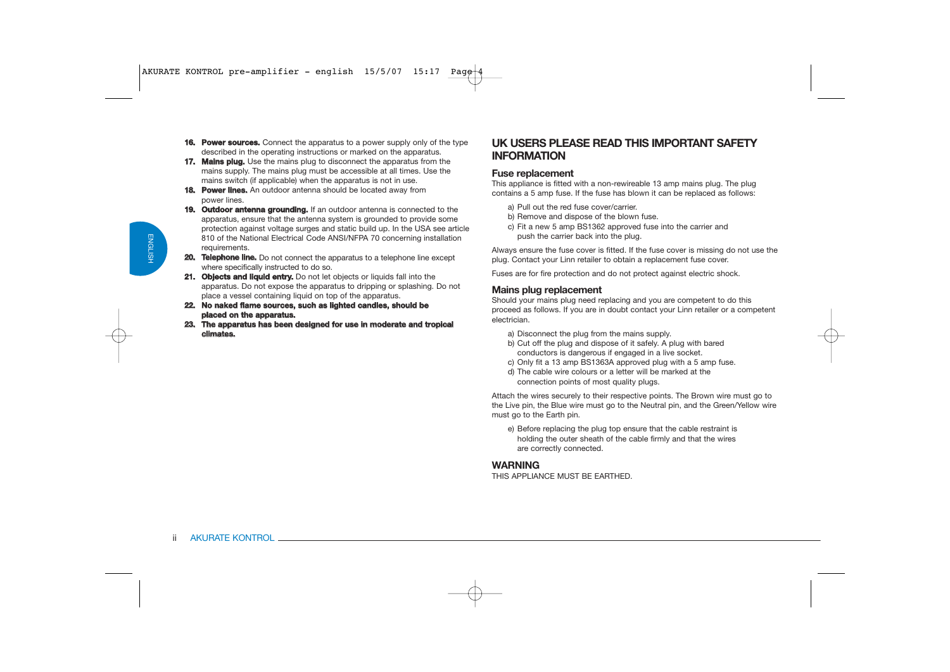- **16. Power sources.** Connect the apparatus to a power supply only of the type described in the operating instructions or marked on the apparatus.
- **17. Mains plug.** Use the mains plug to disconnect the apparatus from the mains supply. The mains plug must be accessible at all times. Use the mains switch (if applicable) when the apparatus is not in use.
- **18. Power lines.** An outdoor antenna should be located away from power lines.
- **19. Outdoor antenna grounding.** If an outdoor antenna is connected to the apparatus, ensure that the antenna system is grounded to provide some protection against voltage surges and static build up. In the USA see article 810 of the National Electrical Code ANSI/NFPA 70 concerning installation requirements.
- **20. Telephone line.** Do not connect the apparatus to a telephone line except where specifically instructed to do so.
- **21. Objects and liquid entry.** Do not let objects or liquids fall into the apparatus. Do not expose the apparatus to dripping or splashing. Do not place a vessel containing liquid on top of the apparatus.
- **22. No naked flame sources, such as lighted candles, should be placed on the apparatus.**
- **23. The apparatus has been designed for use in moderate and tropical climates.**

### **UK USERS PLEASE READ THIS IMPORTANT SAFETYINFORMATION**

### **Fuse replacement**

This appliance is fitted with a non-rewireable 13 amp mains plug. The plug contains a 5 amp fuse. If the fuse has blown it can be replaced as follows:

- a) Pull out the red fuse cover/carrier.
- b) Remove and dispose of the blown fuse.
- c) Fit a new 5 amp BS1362 approved fuse into the carrier and push the carrier back into the plug.

Always ensure the fuse cover is fitted. If the fuse cover is missing do not use the plug. Contact your Linn retailer to obtain a replacement fuse cover.

Fuses are for fire protection and do not protect against electric shock.

### **Mains plug replacement**

Should your mains plug need replacing and you are competent to do this proceed as follows. If you are in doubt contact your Linn retailer or a competent electrician.

- a) Disconnect the plug from the mains supply.
- b) Cut off the plug and dispose of it safely. A plug with bared conductors is dangerous if engaged in a live socket.
- c) Only fit a 13 amp BS1363A approved plug with a 5 amp fuse.
- d) The cable wire colours or a letter will be marked at the connection points of most quality plugs.

Attach the wires securely to their respective points. The Brown wire must go to the Live pin, the Blue wire must go to the Neutral pin, and the Green/Yellow wire must go to the Earth pin.

e) Before replacing the plug top ensure that the cable restraint is holding the outer sheath of the cable firmly and that the wires are correctly connected.

### **WARNING**

THIS APPLIANCE MUST BE EARTHED.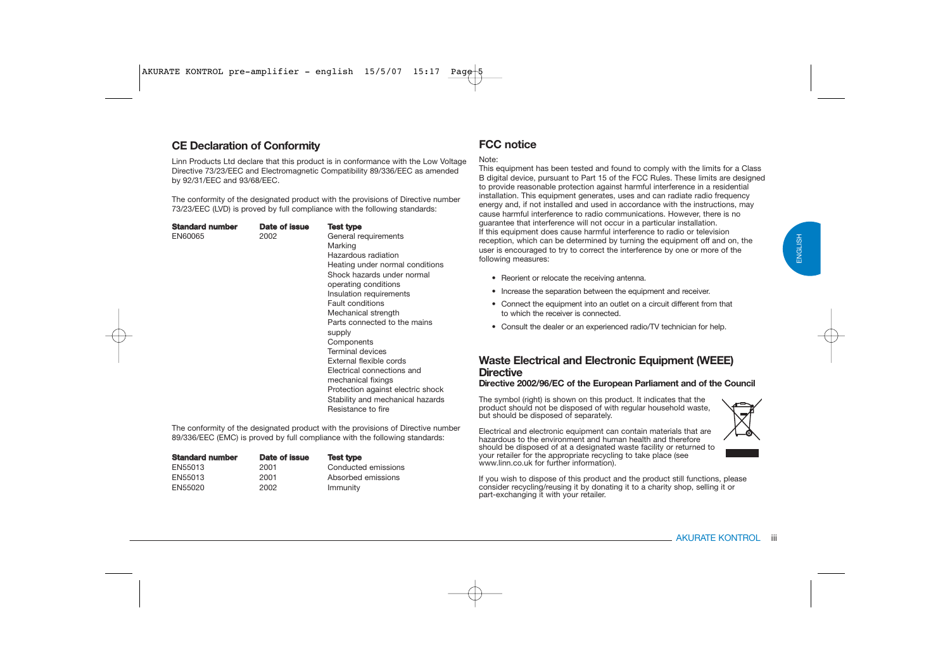### **CE Declaration of Conformity**

Linn Products Ltd declare that this product is in conformance with the Low Voltage Directive 73/23/EEC and Electromagnetic Compatibility 89/336/EEC as amended by 92/31/EEC and 93/68/EEC.

The conformity of the designated product with the provisions of Directive number 73/23/EEC (LVD) is proved by full compliance with the following standards:

| Standard number<br>EN60065 | Date of issue<br>2002 | Test type<br>General requirements<br>Marking<br>Hazardous radiation<br>Heating under normal conditions<br>Shock hazards under normal<br>operating conditions<br>Insulation requirements<br><b>Fault conditions</b><br>Mechanical strength<br>Parts connected to the mains<br>supply<br>Components<br><b>Terminal devices</b><br>External flexible cords<br>Electrical connections and<br>mechanical fixings |
|----------------------------|-----------------------|-------------------------------------------------------------------------------------------------------------------------------------------------------------------------------------------------------------------------------------------------------------------------------------------------------------------------------------------------------------------------------------------------------------|
|                            |                       | Protection against electric shock<br>Stability and mechanical hazards<br>Resistance to fire                                                                                                                                                                                                                                                                                                                 |

The conformity of the designated product with the provisions of Directive number 89/336/EEC (EMC) is proved by full compliance with the following standards:

| <b>Standard number</b> | Date of issue | <b>Test type</b>    |
|------------------------|---------------|---------------------|
| EN55013                | 2001          | Conducted emissions |
| EN55013                | 2001          | Absorbed emissions  |
| EN55020                | 2002          | Immunity            |

# **FCC notice**

#### Note:

This equipment has been tested and found to comply with the limits for a Class B digital device, pursuant to Part 15 of the FCC Rules. These limits are designed to provide reasonable protection against harmful interference in a residential installation. This equipment generates, uses and can radiate radio frequency energy and, if not installed and used in accordance with the instructions, may cause harmful interference to radio communications. However, there is no guarantee that interference will not occur in a particular installation. If this equipment does cause harmful interference to radio or television reception, which can be determined by turning the equipment off and on, the user is encouraged to try to correct the interference by one or more of the following measures:

- Reorient or relocate the receiving antenna.
- Increase the separation between the equipment and receiver.
- Connect the equipment into an outlet on a circuit different from that to which the receiver is connected.
- Consult the dealer or an experienced radio/TV technician for help.

### **Waste Electrical and Electronic Equipment (WEEE) Directive**

#### **Directive 2002/96/EC of the European Parliament and of the Council**

The symbol (right) is shown on this product. It indicates that the product should not be disposed of with regular household waste, but should be disposed of separately.

Electrical and electronic equipment can contain materials that are hazardous to the environment and human health and therefore should be disposed of at a designated waste facility or returned to your retailer for the appropriate recycling to take place (see www.linn.co.uk for further information).

If you wish to dispose of this product and the product still functions, please consider recycling/reusing it by donating it to a charity shop, selling it or part-exchanging it with your retailer.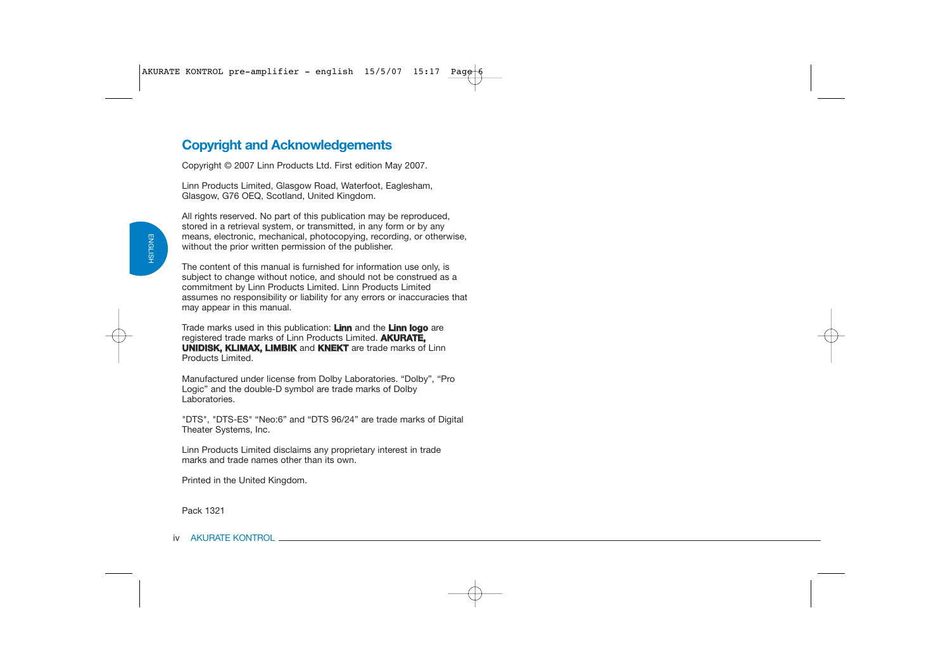# **Copyright and Acknowledgements**

Copyright © 2007 Linn Products Ltd. First edition May 2007.

Linn Products Limited, Glasgow Road, Waterfoot, Eaglesham, Glasgow, G76 OEQ, Scotland, United Kingdom.

All rights reserved. No part of this publication may be reproduced. stored in a retrieval system, or transmitted, in any form or by any means, electronic, mechanical, photocopying, recording, or otherwise, without the prior written permission of the publisher.

The content of this manual is furnished for information use only, is subject to change without notice, and should not be construed as a commitment by Linn Products Limited. Linn Products Limited assumes no responsibility or liability for any errors or inaccuracies that may appear in this manual.

Trade marks used in this publication: **Linn** and the **Linn logo** are registered trade marks of Linn Products Limited. **AKURATE, UNIDISK, KLIMAX, LIMBIK** and **KNEKT** are trade marks of Linn Products Limited.

Manufactured under license from Dolby Laboratories. "Dolby", "Pro Logic" and the double-D symbol are trade marks of Dolby Laboratories.

"DTS", "DTS-ES" "Neo:6" and "DTS 96/24" are trade marks of Digital Theater Systems, Inc.

Linn Products Limited disclaims any proprietary interest in trade marks and trade names other than its own.

Printed in the United Kingdom.

Pack 1321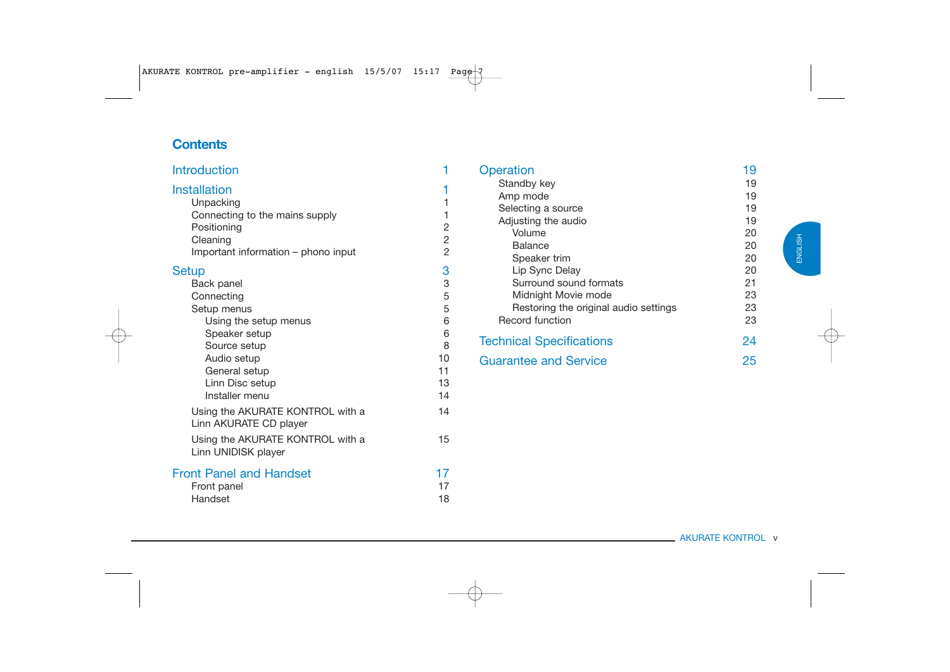# **Contents**

| <b>Introduction</b>                                                                                                                                                |                                    | Operation                                                                                                                                                    | 19                                                 |
|--------------------------------------------------------------------------------------------------------------------------------------------------------------------|------------------------------------|--------------------------------------------------------------------------------------------------------------------------------------------------------------|----------------------------------------------------|
| <b>Installation</b><br>Unpacking<br>Connecting to the mains supply<br>Positioning<br>Cleaning<br>Important information - phono input<br><b>Setup</b><br>Back panel | 2<br>$\overline{2}$<br>2<br>3<br>3 | Standby key<br>Amp mode<br>Selecting a source<br>Adjusting the audio<br>Volume<br><b>Balance</b><br>Speaker trim<br>Lip Sync Delay<br>Surround sound formats | 19<br>19<br>19<br>19<br>20<br>20<br>20<br>20<br>21 |
| Connecting<br>Setup menus<br>Using the setup menus                                                                                                                 | 5<br>5<br>6                        | Midnight Movie mode<br>Restoring the original audio settings<br>Record function                                                                              | 23<br>23<br>23                                     |
| Speaker setup<br>Source setup<br>Audio setup<br>General setup<br>Linn Disc setup<br>Installer menu                                                                 | 6<br>8<br>10<br>11<br>13<br>14     | <b>Technical Specifications</b><br><b>Guarantee and Service</b>                                                                                              | 24<br>25                                           |
| Using the AKURATE KONTROL with a<br>Linn AKURATE CD player<br>Using the AKURATE KONTROL with a<br>Linn UNIDISK player                                              | 14<br>15                           |                                                                                                                                                              |                                                    |
| <b>Front Panel and Handset</b><br>Front panel<br>Handset                                                                                                           | 17<br>17<br>18                     |                                                                                                                                                              |                                                    |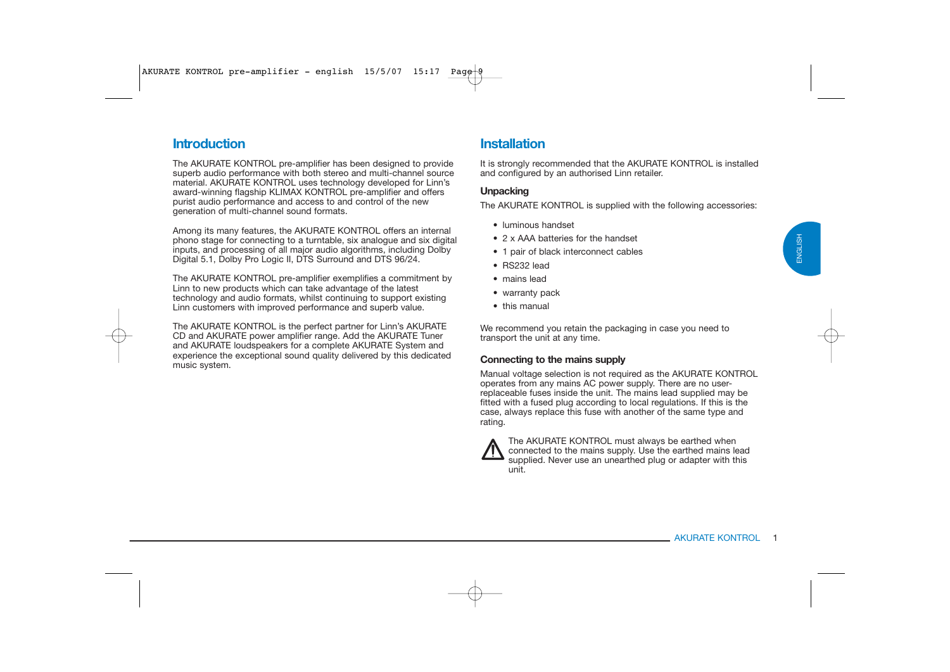# **Introduction**

The AKURATE KONTROL pre-amplifier has been designed to provide superb audio performance with both stereo and multi-channel source material. AKURATE KONTROL uses technology developed for Linn's award-winning flagship KLIMAX KONTROL pre-amplifier and offers purist audio performance and access to and control of the new generation of multi-channel sound formats.

Among its many features, the AKURATE KONTROL offers an internal phono stage for connecting to a turntable, six analogue and six digital inputs, and processing of all major audio algorithms, including Dolby Digital 5.1, Dolby Pro Logic II, DTS Surround and DTS 96/24.

The AKURATE KONTROL pre-amplifier exemplifies a commitment by Linn to new products which can take advantage of the latest technology and audio formats, whilst continuing to support existing Linn customers with improved performance and superb value.

The AKURATE KONTROL is the perfect partner for Linn's AKURATE CD and AKURATE power amplifier range. Add the AKURATE Tuner and AKURATE loudspeakers for a complete AKURATE System and experience the exceptional sound quality delivered by this dedicated music system.

# **Installation**

It is strongly recommended that the AKURATE KONTROL is installed and configured by an authorised Linn retailer.

### **Unpacking**

The AKURATE KONTROL is supplied with the following accessories:

- luminous handset
- 2 x AAA batteries for the handset
- 1 pair of black interconnect cables
- RS232 lead
- mains lead
- warranty pack
- this manual

We recommend you retain the packaging in case you need to transport the unit at any time.

### **Connecting to the mains supply**

Manual voltage selection is not required as the AKURATE KONTROL operates from any mains AC power supply. There are no userreplaceable fuses inside the unit. The mains lead supplied may be fitted with a fused plug according to local regulations. If this is the case, always replace this fuse with another of the same type and rating.



The AKURATE KONTROL must always be earthed when connected to the mains supply. Use the earthed mains lead supplied. Never use an unearthed plug or adapter with this unit.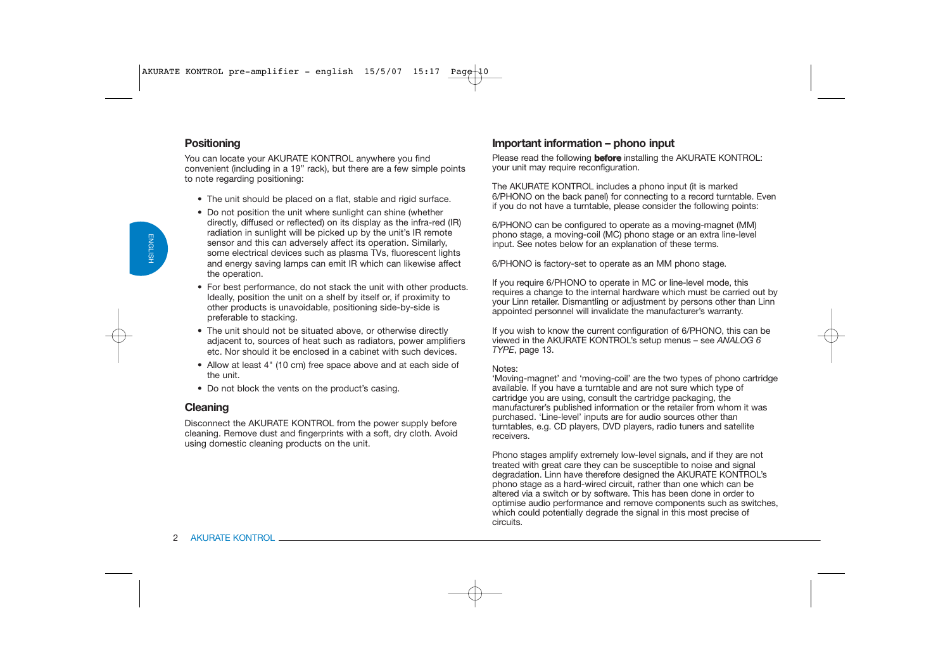### **Positioning**

You can locate your AKURATE KONTROL anywhere you find convenient (including in a 19" rack), but there are a few simple points to note regarding positioning:

- The unit should be placed on a flat, stable and rigid surface.
- Do not position the unit where sunlight can shine (whether directly, diffused or reflected) on its display as the infra-red (IR) radiation in sunlight will be picked up by the unit's IR remote sensor and this can adversely affect its operation. Similarly, some electrical devices such as plasma TVs, fluorescent lights and energy saving lamps can emit IR which can likewise affect the operation.
- For best performance, do not stack the unit with other products. Ideally, position the unit on a shelf by itself or, if proximity to other products is unavoidable, positioning side-by-side is preferable to stacking.
- The unit should not be situated above, or otherwise directly adjacent to, sources of heat such as radiators, power amplifiers etc. Nor should it be enclosed in a cabinet with such devices.
- Allow at least 4" (10 cm) free space above and at each side of the unit.
- Do not block the vents on the product's casing.

### **Cleaning**

Disconnect the AKURATE KONTROL from the power supply before cleaning. Remove dust and fingerprints with a soft, dry cloth. Avoid using domestic cleaning products on the unit.

### **Important information – phono input**

Please read the following **before** installing the AKURATE KONTROL: your unit may require reconfiguration.

The AKURATE KONTROL includes a phono input (it is marked 6/PHONO on the back panel) for connecting to a record turntable. Even if you do not have a turntable, please consider the following points:

6/PHONO can be configured to operate as a moving-magnet (MM) phono stage, a moving-coil (MC) phono stage or an extra line-level input. See notes below for an explanation of these terms.

6/PHONO is factory-set to operate as an MM phono stage.

If you require 6/PHONO to operate in MC or line-level mode, this requires a change to the internal hardware which must be carried out by your Linn retailer. Dismantling or adjustment by persons other than Linn appointed personnel will invalidate the manufacturer's warranty.

If you wish to know the current configuration of 6/PHONO, this can be viewed in the AKURATE KONTROL's setup menus – see *ANALOG 6 TYPE*, page 13.

#### Notes:

 'Moving-magnet' and 'moving-coil' are the two types of phono cartridge available. If you have a turntable and are not sure which type of cartridge you are using, consult the cartridge packaging, the manufacturer's published information or the retailer from whom it was purchased. 'Line-level' inputs are for audio sources other than turntables, e.g. CD players, DVD players, radio tuners and satellite receivers.

Phono stages amplify extremely low-level signals, and if they are not treated with great care they can be susceptible to noise and signal degradation. Linn have therefore designed the AKURATE KONTROL's phono stage as a hard-wired circuit, rather than one which can be altered via a switch or by software. This has been done in order to optimise audio performance and remove components such as switches, which could potentially degrade the signal in this most precise of circuits.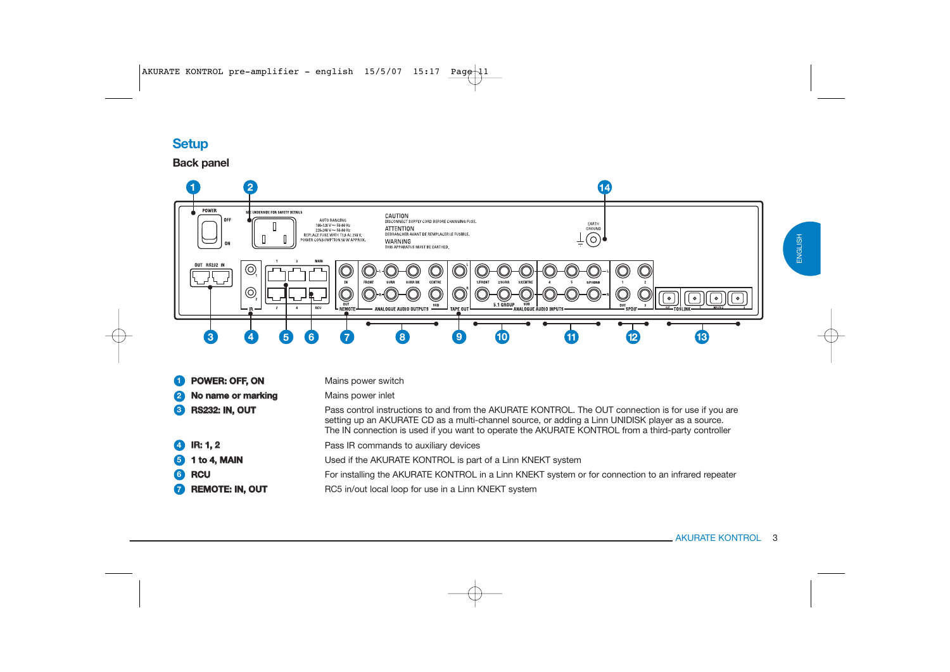# **Setup**

### **Back panel**



| <b>O</b> POWER: OFF, ON | Mains power switch                                                                                                                                                                                                                                                                                            |
|-------------------------|---------------------------------------------------------------------------------------------------------------------------------------------------------------------------------------------------------------------------------------------------------------------------------------------------------------|
| 2 No name or marking    | Mains power inlet                                                                                                                                                                                                                                                                                             |
| 8 RS232: IN, OUT        | Pass control instructions to and from the AKURATE KONTROL. The OUT connection is for use if you are<br>setting up an AKURATE CD as a multi-channel source, or adding a Linn UNIDISK player as a source.<br>The IN connection is used if you want to operate the AKURATE KONTROL from a third-party controller |
| $4$ IR: 1, 2            | Pass IR commands to auxiliary devices                                                                                                                                                                                                                                                                         |
| <b>6</b> 1 to 4, MAIN   | Used if the AKURATE KONTROL is part of a Linn KNEKT system                                                                                                                                                                                                                                                    |
| 6 RCU                   | For installing the AKURATE KONTROL in a Linn KNEKT system or for connection to an infrared repeater                                                                                                                                                                                                           |
| REMOTE: IN, OUT         | RC5 in/out local loop for use in a Linn KNEKT system                                                                                                                                                                                                                                                          |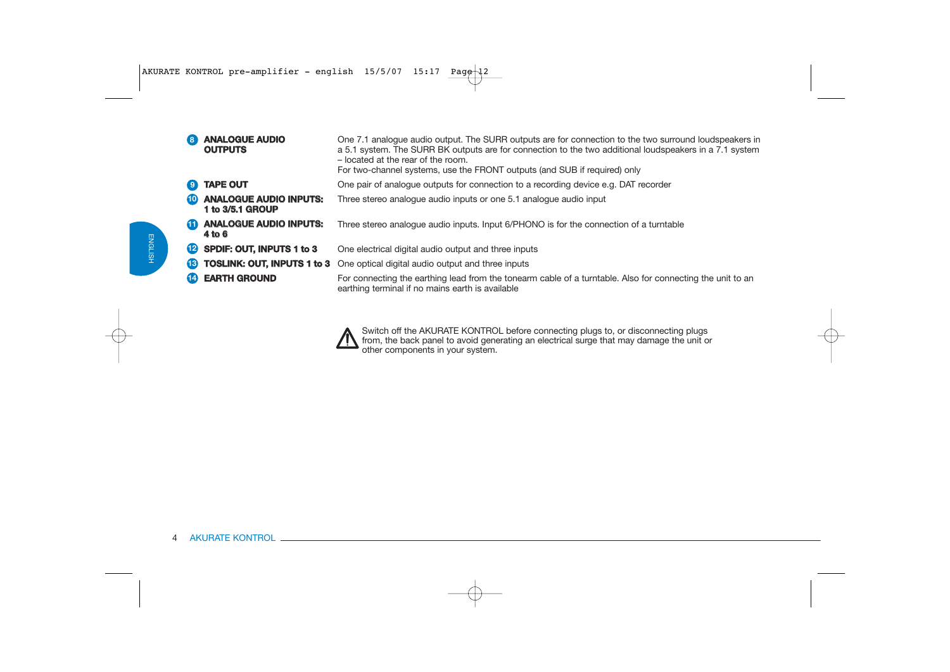| 8)           | <b>ANALOGUE AUDIO</b><br><b>OUTPUTS</b>           | One 7.1 analogue audio output. The SURR outputs are for connection to the two surround loudspeakers in<br>a 5.1 system. The SURR BK outputs are for connection to the two additional loudspeakers in a 7.1 system<br>- located at the rear of the room.<br>For two-channel systems, use the FRONT outputs (and SUB if required) only |
|--------------|---------------------------------------------------|--------------------------------------------------------------------------------------------------------------------------------------------------------------------------------------------------------------------------------------------------------------------------------------------------------------------------------------|
|              | <b>TAPE OUT</b>                                   | One pair of analogue outputs for connection to a recording device e.g. DAT recorder                                                                                                                                                                                                                                                  |
|              | <b>ANALOGUE AUDIO INPUTS:</b><br>1 to 3/5.1 GROUP | Three stereo analogue audio inputs or one 5.1 analogue audio input                                                                                                                                                                                                                                                                   |
| Œ            | <b>ANALOGUE AUDIO INPUTS:</b><br>4 to 6           | Three stereo analogue audio inputs. Input 6/PHONO is for the connection of a turntable                                                                                                                                                                                                                                               |
| $\mathbf{E}$ | SPDIF: OUT, INPUTS 1 to 3                         | One electrical digital audio output and three inputs                                                                                                                                                                                                                                                                                 |
| <b>13</b>    |                                                   | <b>TOSLINK: OUT, INPUTS 1 to 3</b> One optical digital audio output and three inputs                                                                                                                                                                                                                                                 |
|              | <b>EARTH GROUND</b>                               | For connecting the earthing lead from the tonearm cable of a turntable. Also for connecting the unit to an<br>earthing terminal if no mains earth is available                                                                                                                                                                       |

Switch off the AKURATE KONTROL before connecting plugs to, or disconnecting plugs from, the back panel to avoid generating an electrical surge that may damage the unit or other components in your system.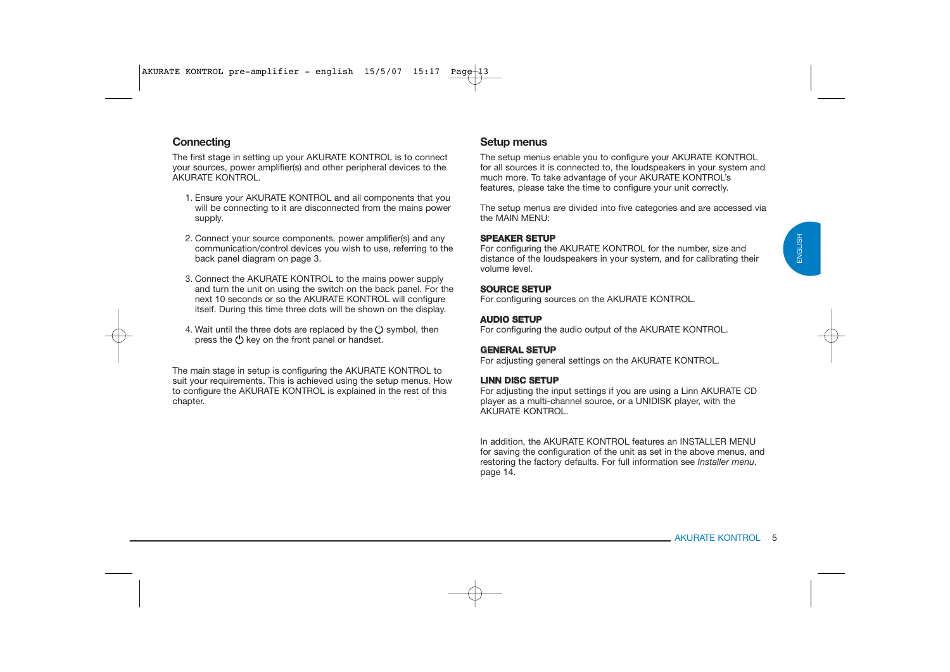### **Connecting**

The first stage in setting up your AKURATE KONTROL is to connect your sources, power amplifier(s) and other peripheral devices to the AKURATE KONTROL.

- 1. Ensure your AKURATE KONTROL and all components that you will be connecting to it are disconnected from the mains power supply.
- 2. Connect your source components, power amplifier(s) and any communication/control devices you wish to use, referring to the back panel diagram on page 3.
- 3. Connect the AKURATE KONTROL to the mains power supply and turn the unit on using the switch on the back panel. For the next 10 seconds or so the AKURATE KONTROL will configure itself. During this time three dots will be shown on the display.
- 4. Wait until the three dots are replaced by the  $\binom{1}{2}$  symbol, then press the (<sup>I</sup>) key on the front panel or handset.

The main stage in setup is configuring the AKURATE KONTROL to suit your requirements. This is achieved using the setup menus. How to configure the AKURATE KONTROL is explained in the rest of this chapter.

### **Setup menus**

The setup menus enable you to configure your AKURATE KONTROL for all sources it is connected to, the loudspeakers in your system and much more. To take advantage of your AKURATE KONTROL's features, please take the time to configure your unit correctly.

The setup menus are divided into five categories and are accessed via the MAIN MENU:

#### **SPEAKER SETUP**

 For configuring the AKURATE KONTROL for the number, size and distance of the loudspeakers in your system, and for calibrating their volume level.

#### **SOURCE SETUP**

For configuring sources on the AKURATE KONTROL.

#### **AUDIO SETUP**

For configuring the audio output of the AKURATE KONTROL.

#### **GENERAL SETUP**

For adjusting general settings on the AKURATE KONTROL.

#### **LINN DISC SETUP**

For adjusting the input settings if you are using a Linn AKURATE CD player as a multi-channel source, or a UNIDISK player, with the AKURATE KONTROL.

In addition, the AKURATE KONTROL features an INSTALLER MENU for saving the configuration of the unit as set in the above menus, and restoring the factory defaults. For full information see *Installer menu*, page 14.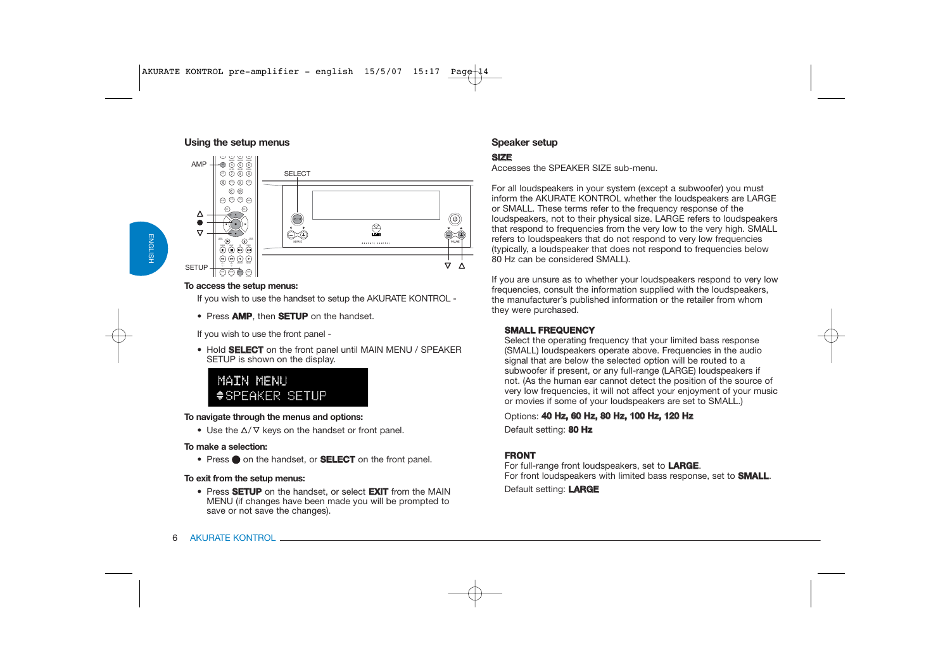#### **Using the setup menus**



#### **To access the setup menus:**

If you wish to use the handset to setup the AKURATE KONTROL -

• Press **AMP**, then **SETUP** on the handset.

If you wish to use the front panel -

• Hold **SELECT** on the front panel until MAIN MENU / SPEAKER SETUP is shown on the display.

# MATN MENIT #SPEAKER SETUP

#### **To navigate through the menus and options:**

• Use the  $\Delta/\nabla$  keys on the handset or front panel.

#### **To make a selection:**

• Press  $\bullet$  on the handset, or **SELECT** on the front panel.

#### **To exit from the setup menus:**

• Press **SETUP** on the handset, or select **EXIT** from the MAIN MENU (if changes have been made you will be prompted to save or not save the changes).

### **Speaker setup**

### **SIZE**

Accesses the SPEAKER SIZE sub-menu.

For all loudspeakers in your system (except a subwoofer) you must inform the AKURATE KONTROL whether the loudspeakers are LARGE or SMALL. These terms refer to the frequency response of the loudspeakers, not to their physical size. LARGE refers to loudspeakers that respond to frequencies from the very low to the very high. SMALL refers to loudspeakers that do not respond to very low frequencies (typically, a loudspeaker that does not respond to frequencies below 80 Hz can be considered SMALL).

If you are unsure as to whether your loudspeakers respond to very low frequencies, consult the information supplied with the loudspeakers, the manufacturer's published information or the retailer from whom they were purchased.

### **SMALL FREQUENCY**

Select the operating frequency that your limited bass response (SMALL) loudspeakers operate above. Frequencies in the audio signal that are below the selected option will be routed to a subwoofer if present, or any full-range (LARGE) loudspeakers if not. (As the human ear cannot detect the position of the source of very low frequencies, it will not affect your enjoyment of your music or movies if some of your loudspeakers are set to SMALL.)

### Options: **40 Hz, 60 Hz, 80 Hz, 100 Hz, 120 Hz**

Default setting: **80 Hz**

### **FRONT**

For full-range front loudspeakers, set to **LARGE**. For front loudspeakers with limited bass response, set to **SMALL**.

Default setting: **LARGE**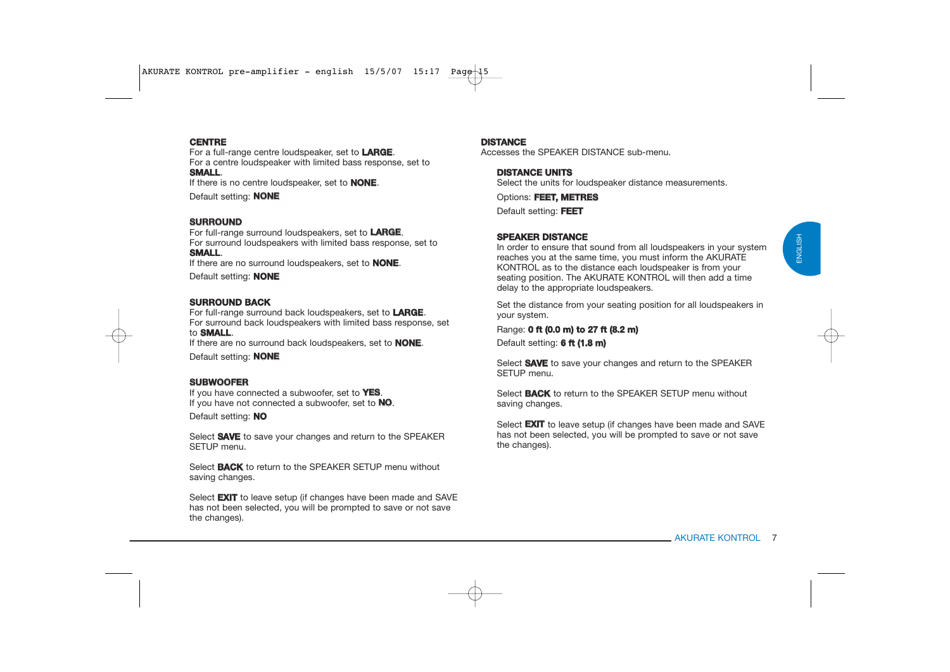# ENGLISH ENGLISH

#### **CENTRE**

For a full-range centre loudspeaker, set to **LARGE**. For a centre loudspeaker with limited bass response, set to **SMALL**.

If there is no centre loudspeaker, set to **NONE**.

Default setting: **NONE**

#### **SURROUND**

For full-range surround loudspeakers, set to **LARGE**. For surround loudspeakers with limited bass response, set to **SMALL**.

If there are no surround loudspeakers, set to **NONE**.

Default setting: **NONE**

#### **SURROUND BACK**

 For full-range surround back loudspeakers, set to **LARGE**. For surround back loudspeakers with limited bass response, set to **SMALL**.

If there are no surround back loudspeakers, set to **NONE**.

Default setting: **NONE**

### **SUBWOOFER**

If you have connected a subwoofer, set to **YES**. If you have not connected a subwoofer, set to **NO**.

Default setting: **NO**

Select **SAVE** to save your changes and return to the SPEAKER SETUP menu.

Select **BACK** to return to the SPEAKER SETUP menu without saving changes.

Select **EXIT** to leave setup (if changes have been made and SAVE has not been selected, you will be prompted to save or not save the changes).

#### **DISTANCE**

Accesses the SPEAKER DISTANCE sub-menu.

#### **DISTANCE UNITS**

Select the units for loudspeaker distance measurements.

Options: **FEET, METRES**

Default setting: **FEET**

#### **SPEAKER DISTANCE**

In order to ensure that sound from all loudspeakers in your system reaches you at the same time, you must inform the AKURATE KONTROL as to the distance each loudspeaker is from your seating position. The AKURATE KONTROL will then add a time delay to the appropriate loudspeakers.

Set the distance from your seating position for all loudspeakers in your system.

Range: **0 ft (0.0 m) to 27 ft (8.2 m)** Default setting: **6 ft (1.8 m)**

Select **SAVE** to save your changes and return to the SPEAKER SETUP menu.

Select **BACK** to return to the SPEAKER SETUP menu without saving changes.

Select **EXIT** to leave setup (if changes have been made and SAVE has not been selected, you will be prompted to save or not save the changes).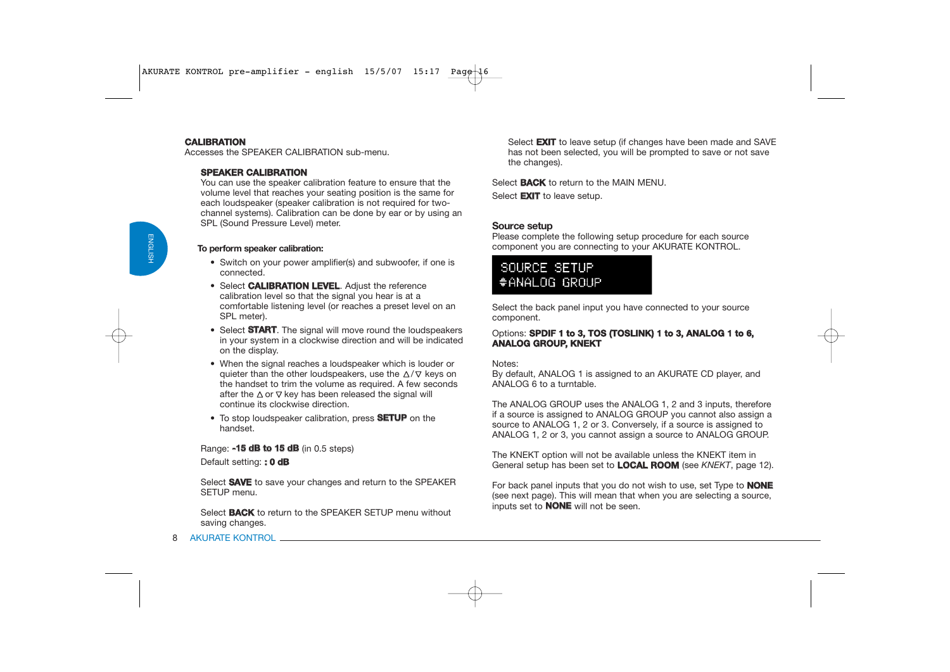### **CALIBRATION**

Accesses the SPEAKER CALIBRATION sub-menu.

#### **SPEAKER CALIBRATION**

You can use the speaker calibration feature to ensure that the volume level that reaches your seating position is the same for each loudspeaker (speaker calibration is not required for twochannel systems). Calibration can be done by ear or by using an SPL (Sound Pressure Level) meter.

#### **To perform speaker calibration:**

- Switch on your power amplifier(s) and subwoofer, if one is connected.
- Select **CALIBRATION LEVEL**. Adjust the reference calibration level so that the signal you hear is at a comfortable listening level (or reaches a preset level on an SPL meter).
- Select **START**. The signal will move round the loudspeakers in your system in a clockwise direction and will be indicated on the display.
- When the signal reaches a loudspeaker which is louder or quieter than the other loudspeakers, use the  $\Delta/\nabla$  keys on the handset to trim the volume as required. A few seconds after the  $\Delta$  or  $\nabla$  key has been released the signal will continue its clockwise direction.
- To stop loudspeaker calibration, press **SETUP** on the handset.

Range: **-15 dB to 15 dB** (in 0.5 steps)

Default setting: **: 0 dB**

Select **SAVE** to save your changes and return to the SPEAKER SETUP menu.

Select **BACK** to return to the SPEAKER SETUP menu without saving changes.

Select **EXIT** to leave setup (if changes have been made and SAVE has not been selected, you will be prompted to save or not save the changes).

Select **BACK** to return to the MAIN MENU. Select **EXIT** to leave setup.

#### **Source setup**

Please complete the following setup procedure for each source component you are connecting to your AKURATE KONTROL.

# SOURCE SETUP #ANALOG GROUP

Select the back panel input you have connected to your source component.

#### Options: **SPDIF 1 to 3, TOS (TOSLINK) 1 to 3, ANALOG 1 to 6, ANALOG GROUP, KNEKT**

Notes:

By default, ANALOG 1 is assigned to an AKURATE CD player, and ANALOG 6 to a turntable.

The ANALOG GROUP uses the ANALOG 1, 2 and 3 inputs, therefore if a source is assigned to ANALOG GROUP you cannot also assign a source to ANALOG 1, 2 or 3. Conversely, if a source is assigned to ANALOG 1, 2 or 3, you cannot assign a source to ANALOG GROUP.

The KNEKT option will not be available unless the KNEKT item in General setup has been set to **LOCAL ROOM** (see *KNEKT*, page 12).

For back panel inputs that you do not wish to use, set Type to **NONE** (see next page). This will mean that when you are selecting a source, inputs set to **NONE** will not be seen.

ENGLISH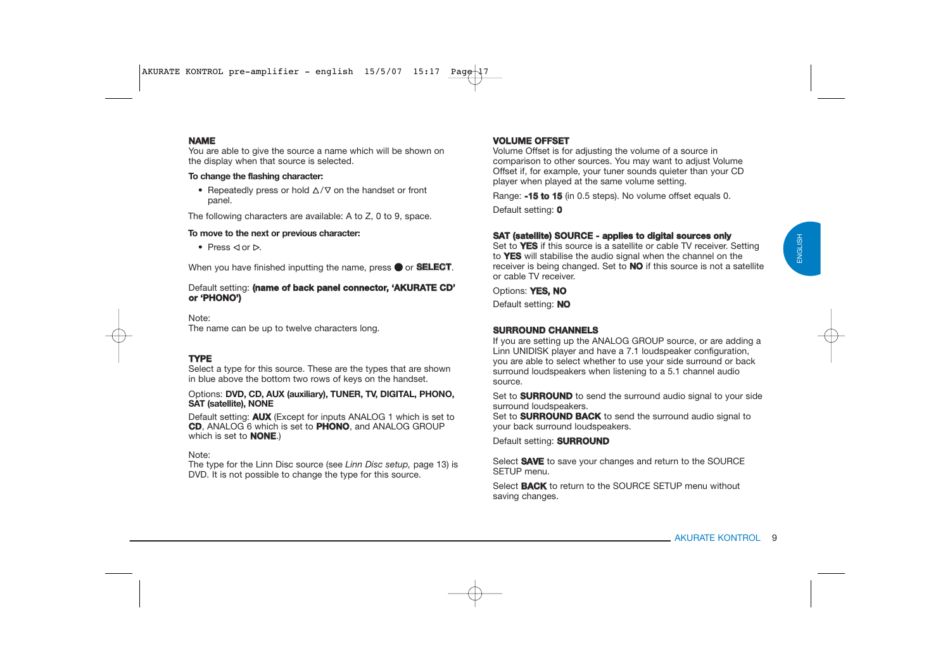#### **NAME**

 You are able to give the source a name which will be shown on the display when that source is selected.

#### **To change the flashing character:**

• Repeatedly press or hold  $\Delta/\nabla$  on the handset or front panel.

The following characters are available: A to Z, 0 to 9, space.

#### **To move to the next or previous character:**

• Press  $\lhd$  or  $\rhd$ .

When you have finished inputting the name, press  $\bullet$  or **SELECT**.

#### Default setting: **(name of back panel connector, 'AKURATE CD' or 'PHONO')**

Note:The name can be up to twelve characters long.

#### **TYPE**

Select a type for this source. These are the types that are shown in blue above the bottom two rows of keys on the handset.

Options: **DVD, CD, AUX (auxiliary), TUNER, TV, DIGITAL, PHONO, SAT (satellite), NONE**

Default setting: **AUX** (Except for inputs ANALOG 1 which is set to **CD**, ANALOG 6 which is set to **PHONO**, and ANALOG GROUP which is set to **NONE**.)

Note:

The type for the Linn Disc source (see *Linn Disc setup,* page 13) is DVD. It is not possible to change the type for this source.

#### **VOLUME OFFSET**

 Volume Offset is for adjusting the volume of a source in comparison to other sources. You may want to adjust Volume Offset if, for example, your tuner sounds quieter than your CD player when played at the same volume setting.

Range: **-15 to 15** (in 0.5 steps). No volume offset equals 0. Default setting: **0**

#### **SAT (satellite) SOURCE - applies to digital sources only**

Set to **YES** if this source is a satellite or cable TV receiver. Setting to **YES** will stabilise the audio signal when the channel on the receiver is being changed. Set to **NO** if this source is not a satellite or cable TV receiver.

Options: **YES, NO**

Default setting: **NO**

#### **SURROUND CHANNELS**

If you are setting up the ANALOG GROUP source, or are adding a Linn UNIDISK player and have a 7.1 loudspeaker configuration, you are able to select whether to use your side surround or back surround loudspeakers when listening to a 5.1 channel audio source.

Set to **SURROUND** to send the surround audio signal to your side surround loudspeakers.

Set to **SURROUND BACK** to send the surround audio signal to your back surround loudspeakers.

Default setting: **SURROUND**

Select **SAVE** to save your changes and return to the SOURCE SETUP menu.

Select **BACK** to return to the SOURCE SETUP menu without saving changes.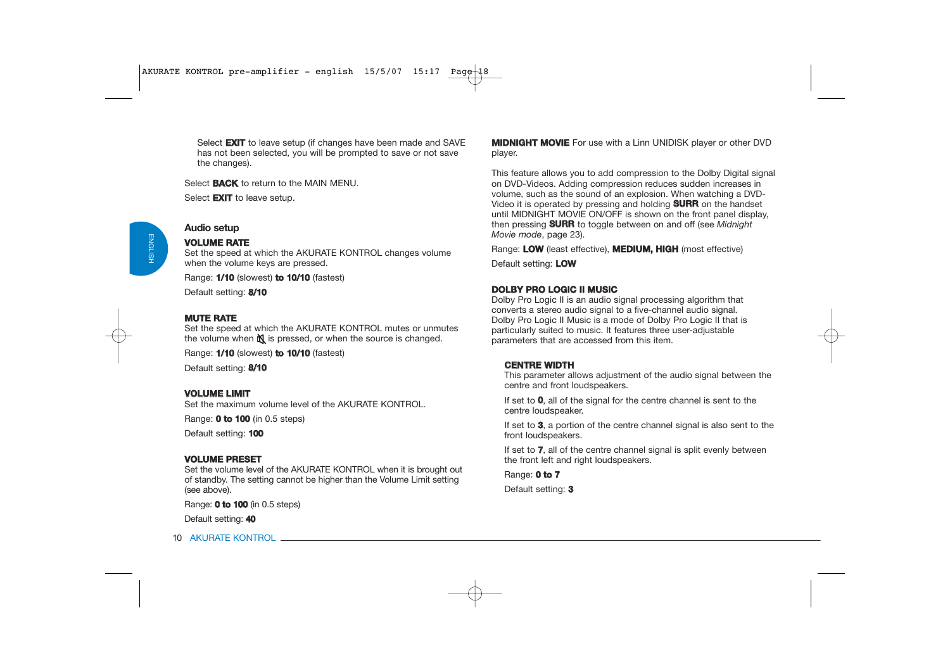Select **EXIT** to leave setup (if changes have been made and SAVE has not been selected, you will be prompted to save or not save the changes).

Select **BACK** to return to the MAIN MENU.

Select **EXIT** to leave setup.

### **Audio setup**

### **VOLUME RATE**

Set the speed at which the AKURATE KONTROL changes volume when the volume keys are pressed.

Range: **1/10** (slowest) **to 10/10** (fastest)

Default setting: **8/10**

#### **MUTE RATE**

 Set the speed at which the AKURATE KONTROL mutes or unmutes the volume when  $\mathbb N$  is pressed, or when the source is changed.

Range: **1/10** (slowest) **to 10/10** (fastest)

Default setting: **8/10**

#### **VOLUME LIMIT**

Set the maximum volume level of the AKURATE KONTROL.

Range: **0 to 100** (in 0.5 steps)

Default setting: **100**

#### **VOLUME PRESET**

Set the volume level of the AKURATE KONTROL when it is brought out of standby. The setting cannot be higher than the Volume Limit setting (see above).

Range: **0 to 100** (in 0.5 steps)

Default setting: **40**

**MIDNIGHT MOVIE** For use with a Linn UNIDISK player or other DVD player.

This feature allows you to add compression to the Dolby Digital signal on DVD-Videos. Adding compression reduces sudden increases in volume, such as the sound of an explosion. When watching a DVD-Video it is operated by pressing and holding **SURR** on the handset until MIDNIGHT MOVIE ON/OFF is shown on the front panel display, then pressing **SURR** to toggle between on and off (see *Midnight Movie mode*, page 23).

Range: **LOW** (least effective), **MEDIUM, HIGH** (most effective)

Default setting: **LOW**

### **DOLBY PRO LOGIC II MUSIC**

 Dolby Pro Logic II is an audio signal processing algorithm that converts a stereo audio signal to a five-channel audio signal. Dolby Pro Logic II Music is a mode of Dolby Pro Logic II that is particularly suited to music. It features three user-adjustable parameters that are accessed from this item.

#### **CENTRE WIDTH**

This parameter allows adjustment of the audio signal between the centre and front loudspeakers.

If set to **0**, all of the signal for the centre channel is sent to the centre loudspeaker.

If set to **3**, a portion of the centre channel signal is also sent to the front loudspeakers.

If set to **7**, all of the centre channel signal is split evenly between the front left and right loudspeakers.

Range: **0 to 7**

Default setting: **3**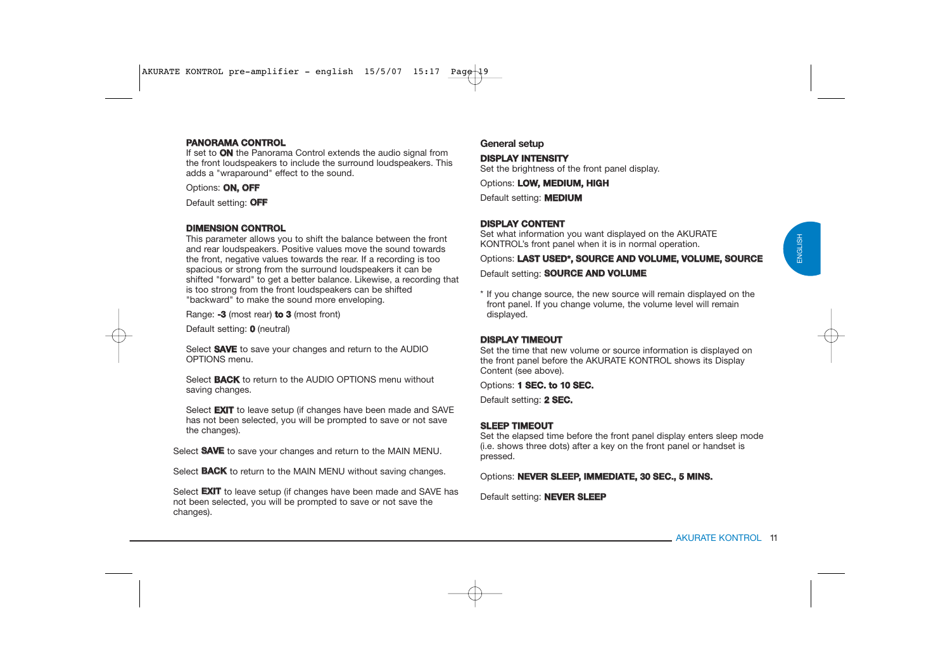### **PANORAMA CONTROL**

If set to **ON** the Panorama Control extends the audio signal from the front loudspeakers to include the surround loudspeakers. This adds a "wraparound" effect to the sound.

Options: **ON, OFF**

Default setting: **OFF**

### **DIMENSION CONTROL**

This parameter allows you to shift the balance between the front and rear loudspeakers. Positive values move the sound towards the front, negative values towards the rear. If a recording is too spacious or strong from the surround loudspeakers it can be shifted "forward" to get a better balance. Likewise, a recording that is too strong from the front loudspeakers can be shifted "backward" to make the sound more enveloping.

Range: **-3** (most rear) **to 3** (most front)

Default setting: **0** (neutral)

Select **SAVE** to save your changes and return to the AUDIO OPTIONS menu.

Select **BACK** to return to the AUDIO OPTIONS menu without saving changes.

Select **EXIT** to leave setup (if changes have been made and SAVE has not been selected, you will be prompted to save or not save the changes).

Select **SAVE** to save your changes and return to the MAIN MENU.

Select **BACK** to return to the MAIN MENU without saving changes.

Select **EXIT** to leave setup (if changes have been made and SAVE has not been selected, you will be prompted to save or not save the changes).

### **General setup**

### **DISPLAY INTENSITY**

Set the brightness of the front panel display.

Options: **LOW, MEDIUM, HIGH** 

Default setting: **MEDIUM**

### **DISPLAY CONTENT**

 Set what information you want displayed on the AKURATE KONTROL's front panel when it is in normal operation.

Options: **LAST USED\*, SOURCE AND VOLUME, VOLUME, SOURCE** 

#### Default setting: **SOURCE AND VOLUME**

\* If you change source, the new source will remain displayed on the front panel. If you change volume, the volume level will remain displayed.

### **DISPLAY TIMEOUT**

Set the time that new volume or source information is displayed on the front panel before the AKURATE KONTROL shows its Display Content (see above).

Options: **1 SEC. to 10 SEC.**

Default setting: **2 SEC.** 

### **SLEEP TIMEOUT**

Set the elapsed time before the front panel display enters sleep mode (i.e. shows three dots) after a key on the front panel or handset is pressed.

Options: **NEVER SLEEP, IMMEDIATE, 30 SEC., 5 MINS.**

Default setting: **NEVER SLEEP**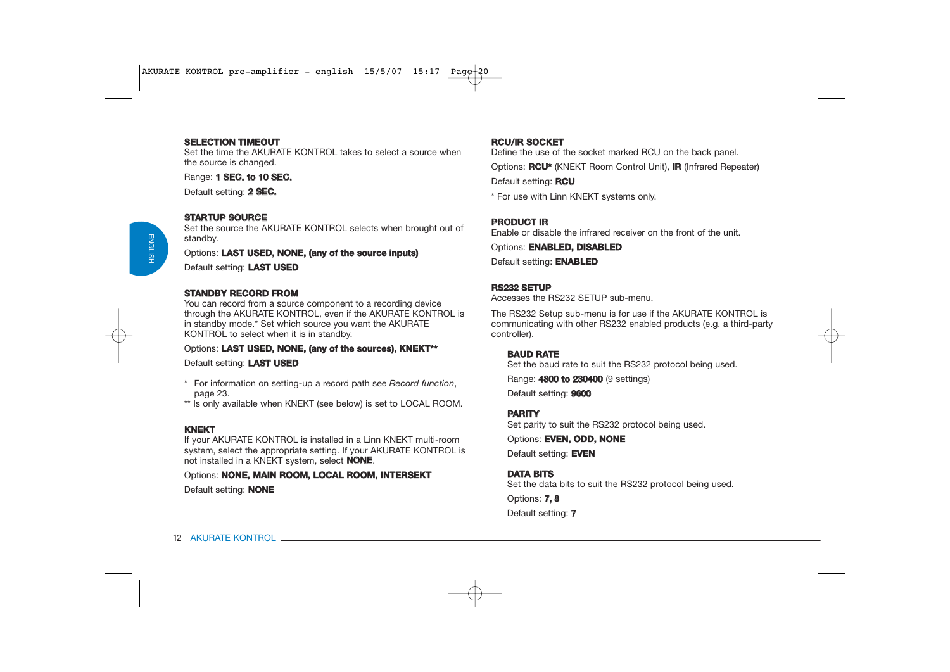#### **SELECTION TIMEOUT**

Set the time the AKURATE KONTROL takes to select a source when the source is changed.

Range: **1 SEC. to 10 SEC.**

Default setting: **2 SEC.**

#### **STARTUP SOURCE**

 Set the source the AKURATE KONTROL selects when brought out of standby.

Options: **LAST USED, NONE, (any of the source inputs)**

Default setting: **LAST USED**

#### **STANDBY RECORD FROM**

You can record from a source component to a recording device through the AKURATE KONTROL, even if the AKURATE KONTROL is in standby mode.\* Set which source you want the AKURATE KONTROL to select when it is in standby.

#### Options: **LAST USED, NONE, (any of the sources), KNEKT\*\***

Default setting: **LAST USED**

- \* For information on setting-up a record path see *Record function*, page 23.
- \*\* Is only available when KNEKT (see below) is set to LOCAL ROOM.

### **KNEKT**

If your AKURATE KONTROL is installed in a Linn KNEKT multi-room system, select the appropriate setting. If your AKURATE KONTROL is not installed in a KNEKT system, select **NONE**.

Options: **NONE, MAIN ROOM, LOCAL ROOM, INTERSEKT**  Default setting: **NONE**

### **RCU/IR SOCKET**

Define the use of the socket marked RCU on the back panel.

Options: **RCU\*** (KNEKT Room Control Unit), **IR** (Infrared Repeater)

Default setting: **RCU**

\* For use with Linn KNEKT systems only.

### **PRODUCT IR**

Enable or disable the infrared receiver on the front of the unit.

Options: **ENABLED, DISABLED**

Default setting: **ENABLED**

#### **RS232 SETUP**

Accesses the RS232 SETUP sub-menu.

The RS232 Setup sub-menu is for use if the AKURATE KONTROL is communicating with other RS232 enabled products (e.g. a third-party controller).

#### **BAUD RATE**

Set the baud rate to suit the RS232 protocol being used.

Range: **4800 to 230400** (9 settings)

Default setting: **9600**

### **PARITY**

Set parity to suit the RS232 protocol being used.

Options: **EVEN, ODD, NONE**

Default setting: **EVEN**

### **DATA BITS**

Set the data bits to suit the RS232 protocol being used.

Options: **7, 8** Default setting: **7**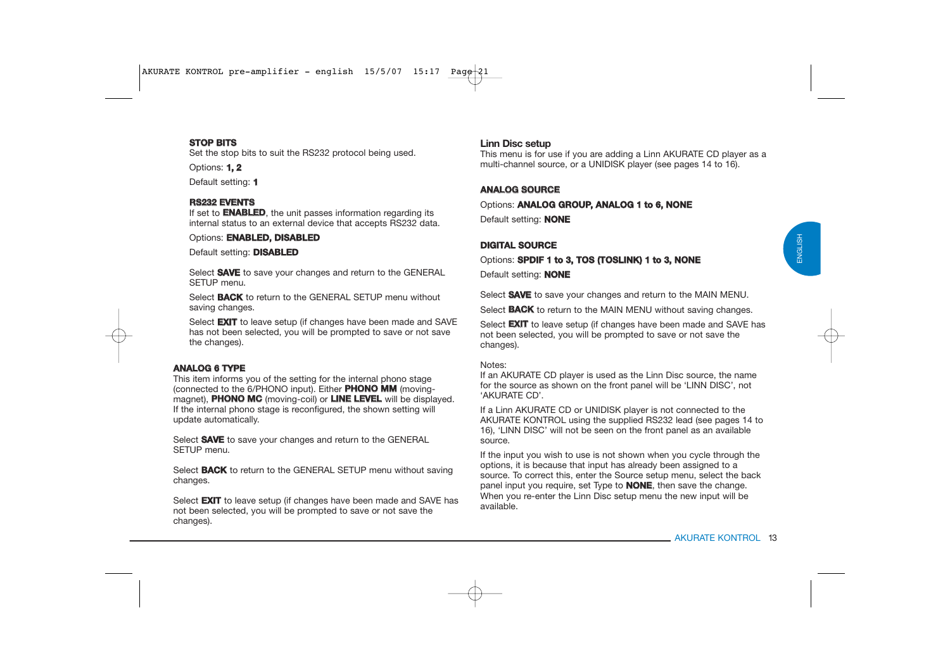#### **STOP BITS**

Set the stop bits to suit the RS232 protocol being used.

Options: **1, 2**

Default setting: **1**

#### **RS232 EVENTS**

If set to **ENABLED**, the unit passes information regarding its internal status to an external device that accepts RS232 data.

Options: **ENABLED, DISABLED**

Default setting: **DISABLED**

Select **SAVE** to save your changes and return to the GENERAL SETUP menu.

Select **BACK** to return to the GENERAL SETUP menu without saving changes.

Select **EXIT** to leave setup (if changes have been made and SAVE has not been selected, you will be prompted to save or not save the changes).

### **ANALOG 6 TYPE**

This item informs you of the setting for the internal phono stage (connected to the 6/PHONO input). Either **PHONO MM** (movingmagnet), **PHONO MC** (moving-coil) or **LINE LEVEL** will be displayed. If the internal phono stage is reconfigured, the shown setting will update automatically.

Select **SAVE** to save your changes and return to the GENERAL SETUP menu.

Select **BACK** to return to the GENERAL SETUP menu without saving changes.

Select **EXIT** to leave setup (if changes have been made and SAVE has not been selected, you will be prompted to save or not save the changes).

### **Linn Disc setup**

This menu is for use if you are adding a Linn AKURATE CD player as a multi-channel source, or a UNIDISK player (see pages 14 to 16).

### **ANALOG SOURCE**

Options: **ANALOG GROUP, ANALOG 1 to 6, NONE** Default setting: **NONE**

### **DIGITAL SOURCE**

Options: **SPDIF 1 to 3, TOS (TOSLINK) 1 to 3, NONE** Default setting: **NONE**

Select **SAVE** to save your changes and return to the MAIN MENU.

Select **BACK** to return to the MAIN MENU without saving changes.

Select **EXIT** to leave setup (if changes have been made and SAVE has not been selected, you will be prompted to save or not save the changes).

#### Notes:

If an AKURATE CD player is used as the Linn Disc source, the name for the source as shown on the front panel will be 'LINN DISC', not 'AKURATE CD'.

If a Linn AKURATE CD or UNIDISK player is not connected to the AKURATE KONTROL using the supplied RS232 lead (see pages 14 to 16), 'LINN DISC' will not be seen on the front panel as an available source.

If the input you wish to use is not shown when you cycle through the options, it is because that input has already been assigned to a source. To correct this, enter the Source setup menu, select the back panel input you require, set Type to **NONE**, then save the change. When you re-enter the Linn Disc setup menu the new input will be available.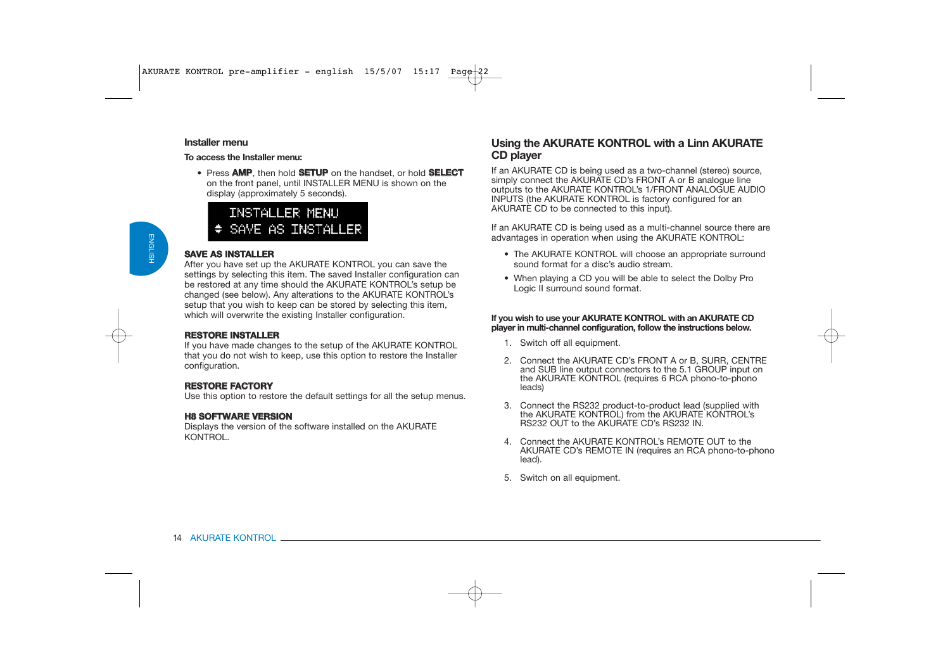#### **Installer menu**

**To access the Installer menu:**

• Press **AMP**, then hold **SETUP** on the handset, or hold **SELECT** on the front panel, until INSTALLER MENU is shown on the display (approximately 5 seconds).

# **INSTALLER MENU** SAVE AS INSTALLER

#### **SAVE AS INSTALLER**

 After you have set up the AKURATE KONTROL you can save the settings by selecting this item. The saved Installer configuration can be restored at any time should the AKURATE KONTROL's setup be changed (see below). Any alterations to the AKURATE KONTROL's setup that you wish to keep can be stored by selecting this item, which will overwrite the existing Installer configuration.

#### **RESTORE INSTALLER**

 If you have made changes to the setup of the AKURATE KONTROL that you do not wish to keep, use this option to restore the Installer configuration.

### **RESTORE FACTORY**

Use this option to restore the default settings for all the setup menus.

### **H8 SOFTWARE VERSION**

Displays the version of the software installed on the AKURATE KONTROL.

### **Using the AKURATE KONTROL with a Linn AKURATE CD player**

If an AKURATE CD is being used as a two-channel (stereo) source, simply connect the AKURATE CD's FRONT A or B analogue line outputs to the AKURATE KONTROL's 1/FRONT ANALOGUE AUDIO INPUTS (the AKURATE KONTROL is factory configured for an AKURATE CD to be connected to this input).

If an AKURATE CD is being used as a multi-channel source there are advantages in operation when using the AKURATE KONTROL:

- The AKURATE KONTROL will choose an appropriate surround sound format for a disc's audio stream.
- When playing a CD you will be able to select the Dolby Pro Logic II surround sound format.

#### **If you wish to use your AKURATE KONTROL with an AKURATE CD player in multi-channel configuration, follow the instructions below.**

- 1. Switch off all equipment.
- 2. Connect the AKURATE CD's FRONT A or B, SURR, CENTRE and SUB line output connectors to the 5.1 GROUP input on the AKURATE KONTROL (requires 6 RCA phono-to-phono leads)
- 3. Connect the RS232 product-to-product lead (supplied with the AKURATE KONTROL) from the AKURATE KONTROL's RS232 OUT to the AKURATE CD's RS232 IN.
- 4. Connect the AKURATE KONTROL's REMOTE OUT to the AKURATE CD's REMOTE IN (requires an RCA phono-to-phono lead).
- 5. Switch on all equipment.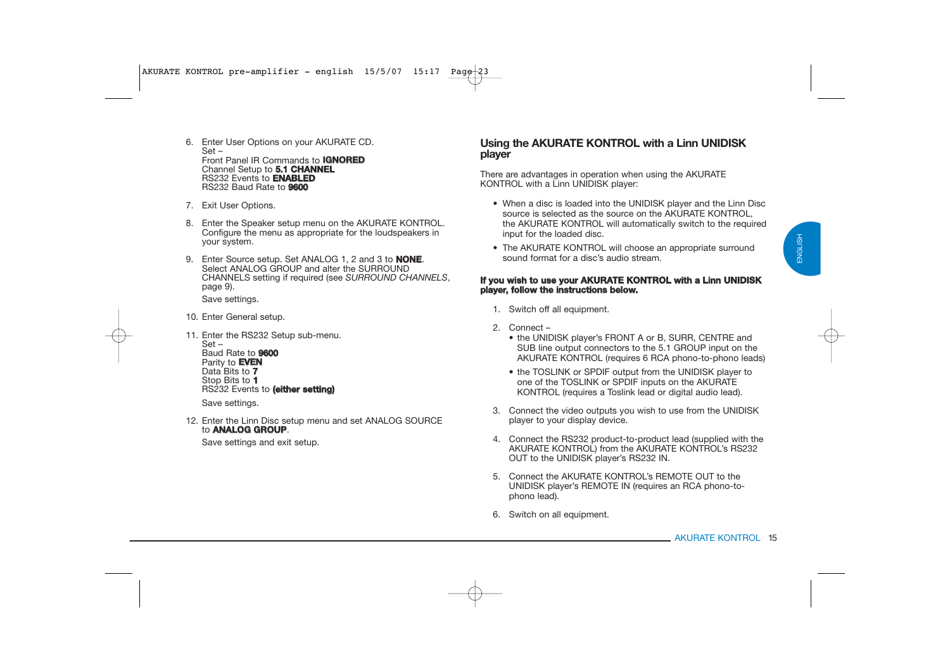- 6. Enter User Options on your AKURATE CD. Set – Front Panel IR Commands to **IGNORED** Channel Setup to **5.1 C HANNEL** RS232 Events to **ENABLED**RS232 Baud Rate to **9600**
- 7. Exit User Options.
- 8. Enter the Speaker setup menu on the AKURATE KONTROL. Configure the menu as appropriate for the loudspeakers in your system.
- 9. Enter Source setup. Set ANALOG 1, 2 and 3 to **NONE**. Select ANALOG GROUP and alter the SURROUND CHANNELS setting if required (see *SURROUND CHANNELS*, page 9). Save settings.
- 10. Enter General setup.
- 11. Enter the RS232 Setup sub-menu. Set – Baud Rate to **9600**Parity to **EVEN** Data Bits to **7** Stop Bits to **1** RS232 Events to **(either setting)** Save settings.
- 12. Enter the Linn Disc setup menu and set ANALOG SOURCE to **ANALOG GROUP**.

Save settings and exit setup.

### **Using the AKURATE KONTROL with a Linn UNIDISK player**

There are advantages in operation when using the AKURATE KONTROL with a Linn UNIDISK player:

- When a disc is loaded into the UNIDISK player and the Linn Disc source is selected as the source on the AKURATE KONTROL. the AKURATE KONTROL will automatically switch to the required input for the loaded disc.
- The AKURATE KONTROL will choose an appropriate surround sound format for a disc's audio stream.

#### **If you wish to use your A KURATE KON T R OL with a Linn U NIDIS K player, follow the instructions below.**

- 1. Switch off all equipment.
- 2. Connect
	- the UNIDISK player's FRONT A or B, SURR, CENTRE and SUB line output connectors to the 5.1 GROUP input on the AKURATE KONTROL (requires 6 RCA phono-to-phono leads)
	- the TOSLINK or SPDIF output from the UNIDISK player to one of the TOSLINK or SPDIF inputs on the AKURATE KONTROL (requires a Toslink lead or digital audio lead).
- 3. Connect the video outputs you wish to use from the UNIDISK player to your display device.
- 4. Connect the RS232 product-to-product lead (supplied with the AKURATE KONTROL) from the AKURATE KONTROL's RS232 OUT to the UNIDISK player's RS232 IN.
- 5. Connect the AKURATE KONTROL's REMOTE OUT to the UNIDISK player's REMOTE IN (requires an RCA phono-tophono lead).
- 6. Switch on all equipment.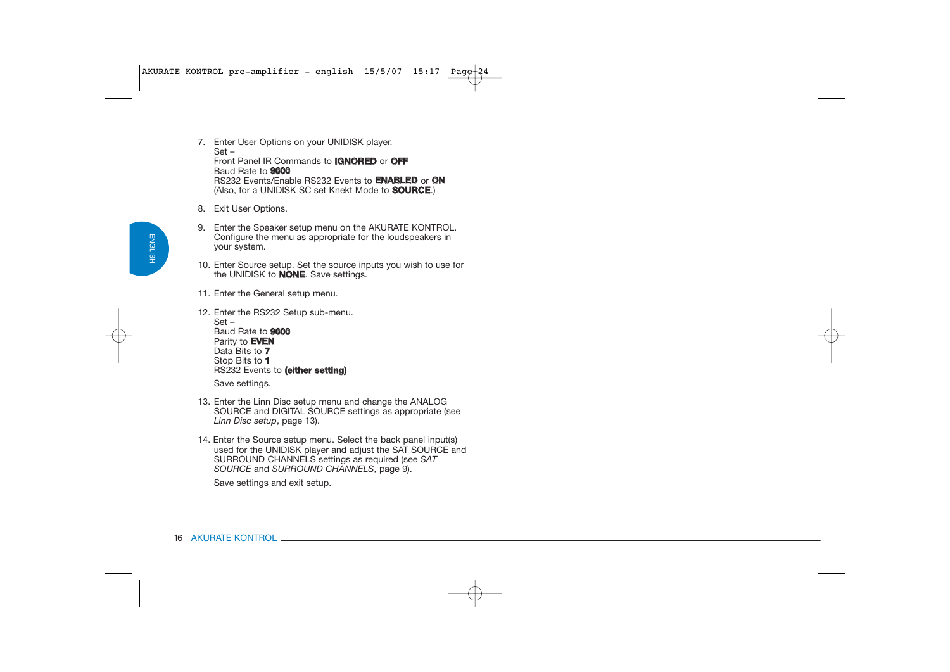- 7. Enter User Options on your UNIDISK player. Set – Front Panel IR Commands to **IGNORED** or **OFF**Baud Rate to **9600** RS232 Events/Enable RS232 Events to **ENABLED** or **ON**(Also, for a UNIDISK SC set Knekt Mode to **SOURCE**.)
- 8. Exit User Options.
- 9. Enter the Speaker setup menu on the AKURATE KONTROL. Configure the menu as appropriate for the loudspeakers in your system.
- 10. Enter Source setup. Set the source inputs you wish to use for the UNIDISK to **NONE**. Save settings.
- 11. Enter the General setup menu.
- 12. Enter the RS232 Setup sub-menu. Set – Baud Rate to **9600**Parity to **EVEN** Data Bits to **7** Stop Bits to **1** RS232 Events to **(either setting)** Save settings.
- 13. Enter the Linn Disc setup menu and change the ANALOG SOURCE and DIGITAL SOURCE settings as appropriate (see *Linn Disc setup*, page 13).
- 14. Enter the Source setup menu. Select the back panel input(s) used for the UNIDISK player and adjust the SAT SOURCE and SURROUND CHANNELS settings as required (see *SAT SOURCE* and *SURROUND CHANNELS*, page 9).

Save settings and exit setup.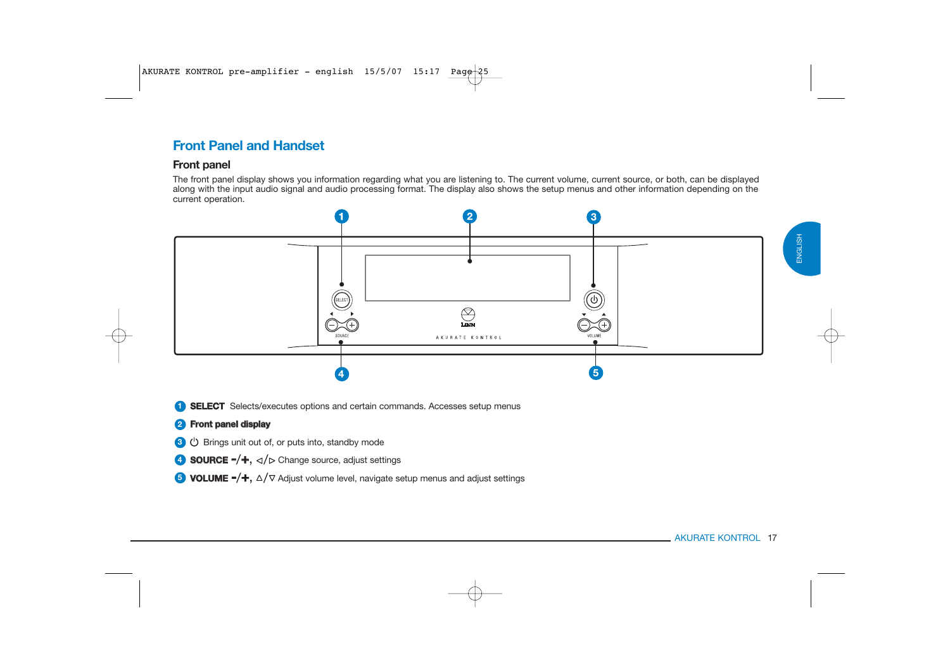#### AKURATE KONTROL 17

ENGLISH

ENGLISH



### **Front panel**

The front panel display shows you information regarding what you are listening to. The current volume, current source, or both, can be displayed along with the input audio signal and audio processing format. The display also shows the setup menus and other information depending on the current operation.



**SELECT** Selects/executes options and certain commands. Accesses setup menus **1**

### **Front panel display 2**

- **3**  $\bullet$  Brings unit out of, or puts into, standby mode
- **SOURCE -/+,**  $\triangleleft$ / $\triangleright$  Change source, adjust settings
- **VOLUME -/+**,  $\triangle/\triangledown$  Adjust volume level, navigate setup menus and adjust settings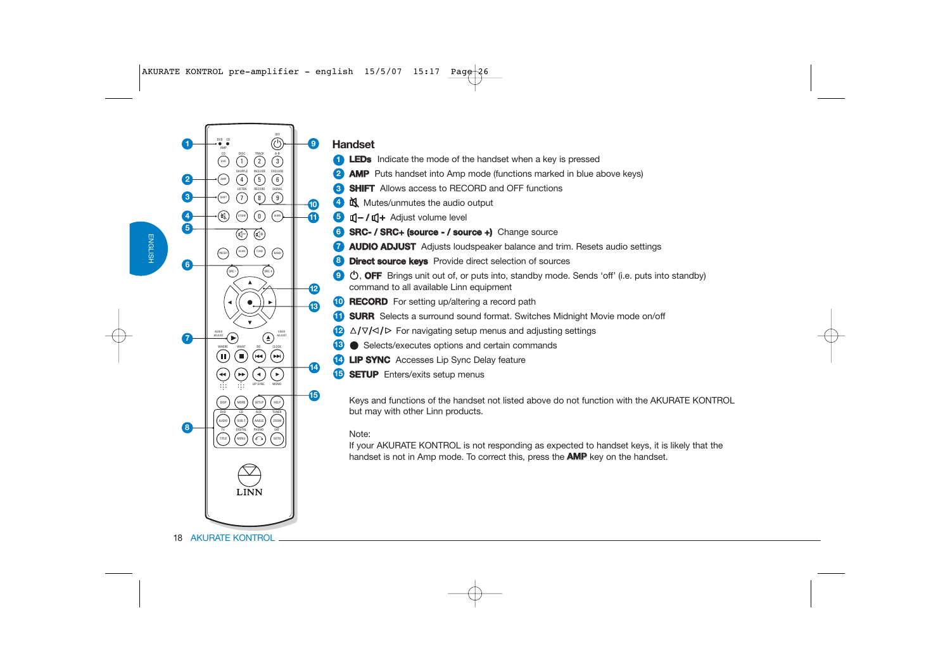

### **Handset**

**2**

- **LEDs** Indicate the mode of the handset when a key is pressed **1**
	- **AMP** Puts handset into Amp mode (functions marked in blue above keys)
- **SHIFT** Allows access to RECORD and OFF functions **3**
- $M$  Mutes/unmutes the audio output **4**
- **/** Adjust volume level **5**
- **6 SRC- / SRC+ (source / source +)** Change source
- **AUDIO ADJUST** Adjusts loudspeaker balance and trim. Resets audio settings **7**
- **8 Direct source keys** Provide direct selection of sources
- **9**  $\bullet$ , **OFF** Brings unit out of, or puts into, standby mode. Sends 'off' (i.e. puts into standby) command to all available Linn equipment
- **RECORD** For setting up/altering a record path
- **SURR** Selects a surround sound format. Switches Midnight Movie mode on/off
- $\mathbf{P}$   $\Delta/\nabla/\Delta/\mathbf{P}$  For navigating setup menus and adjusting settings
- Selects/executes options and certain commands **13**
- **LIP SYNC** Accesses Lip Sync Delay feature **14**
- **SETUP** Enters/exits setup menus **15**

Keys and functions of the handset not listed above do not function with the AKURATE KONTROL but may with other Linn products.

### Note:

**14**

**12**

**13**

**9**

**1011**

**15**

If your AKURATE KONTROL is not responding as expected to handset keys, it is likely that the handset is not in Amp mode. To correct this, press the **AMP** key on the handset.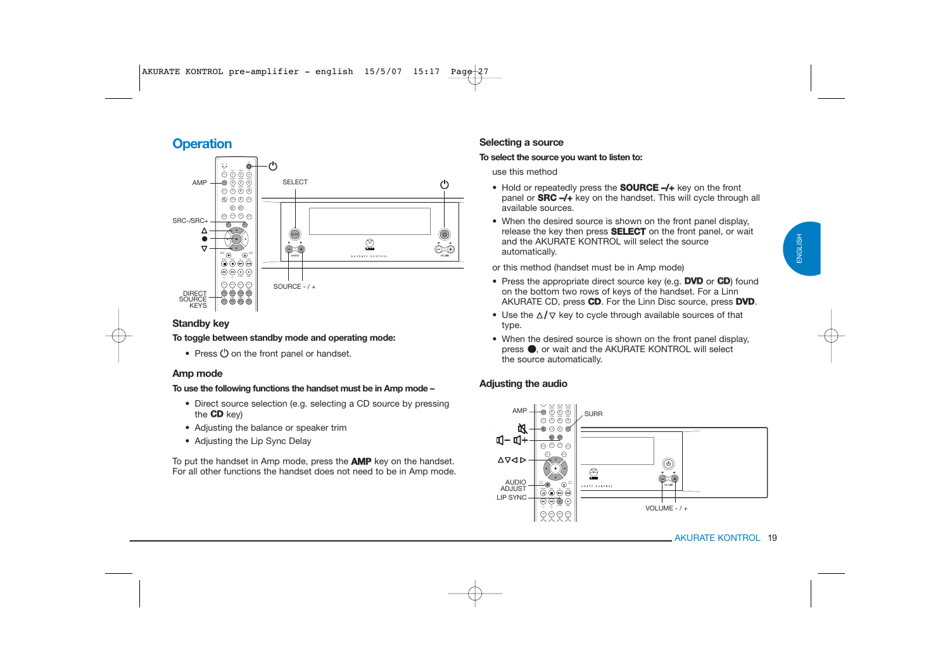# ENGLISH ENGLISH

### **Operation**



### **Standby key**

#### **To toggle between standby mode and operating mode:**

• Press  $\heartsuit$  on the front panel or handset.

#### **Amp mode**

#### **To use the following functions the handset must be in Amp mode –**

- Direct source selection (e.g. selecting a CD source by pressing the **CD** key)
- Adjusting the balance or speaker trim
- Adjusting the Lip Sync Delay

To put the handset in Amp mode, press the **AMP** key on the handset. For all other functions the handset does not need to be in Amp mode.

### **Selecting a source**

#### **To select the source you want to listen to:**

use this method

- Hold or repeatedly press the **SOURCE –/+** key on the front panel or **SRC –/+** key on the handset. This will cycle through all available sources.
- When the desired source is shown on the front panel display, release the key then press **SELECT** on the front panel, or wait and the AKURATE KONTROL will select the source automatically.

or this method (handset must be in Amp mode)

- Press the appropriate direct source key (e.g. **DVD** or **CD**) found on the bottom two rows of keys of the handset. For a Linn AKURATE CD, press **CD**. For the Linn Disc source, press **DVD**.
- Use the  $\Delta/\nabla$  key to cycle through available sources of that type.
- When the desired source is shown on the front panel display, press  $\bullet$ , or wait and the AKURATE KONTROL will select the source automatically.

### **Adjusting the audio**

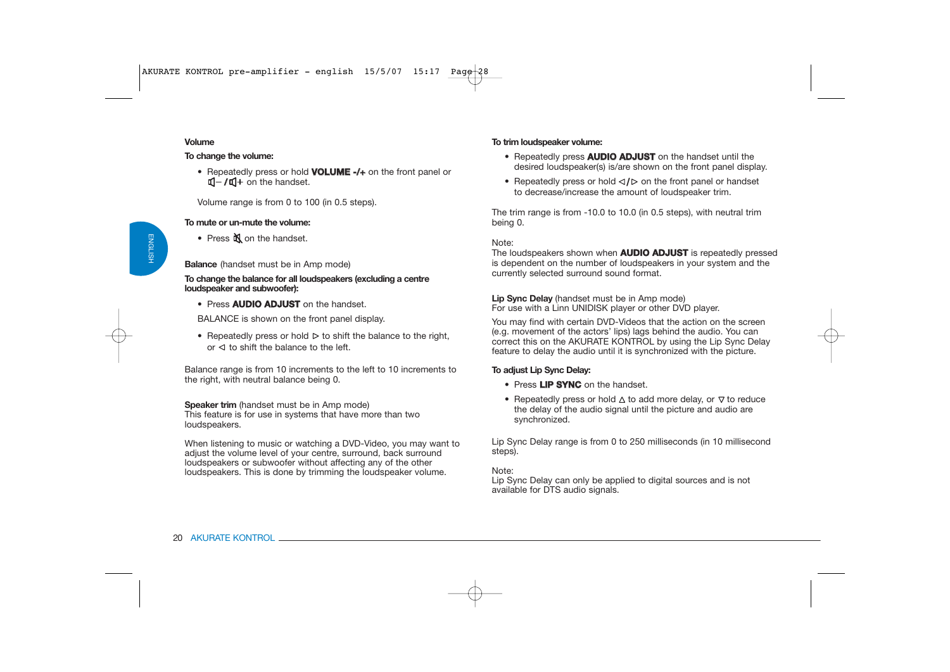#### **Volume**

#### **To change the volume:**

• Repeatedly press or hold **VOLUME -/+** on the front panel or **/ ℂl+** on the handset.

Volume range is from 0 to 100 (in 0.5 steps).

#### **To mute or un-mute the volume:**

• Press  $\mathbb{N}$  on the handset.

#### **Balance** (handset must be in Amp mode)

**To change the balance for all loudspeakers (excluding a centre loudspeaker and subwoofer):**

• Press **AUDIO ADJUST** on the handset.

BALANCE is shown on the front panel display.

• Repeatedly press or hold  $\triangleright$  to shift the balance to the right, or  $\triangleleft$  to shift the balance to the left.

Balance range is from 10 increments to the left to 10 increments to the right, with neutral balance being 0.

**Speaker trim** (handset must be in Amp mode) This feature is for use in systems that have more than two loudspeakers.

When listening to music or watching a DVD-Video, you may want to adjust the volume level of your centre, surround, back surround loudspeakers or subwoofer without affecting any of the other loudspeakers. This is done by trimming the loudspeaker volume.

#### **To trim loudspeaker volume:**

- Repeatedly press **AUDIO ADJUST** on the handset until the desired loudspeaker(s) is/are shown on the front panel display.
- Repeatedly press or hold  $\triangleleft$   $\triangleright$  on the front panel or handset to decrease/increase the amount of loudspeaker trim.

The trim range is from -10.0 to 10.0 (in 0.5 steps), with neutral trim being 0.

Note:

The loudspeakers shown when **AUDIO ADJUST** is repeatedly pressed is dependent on the number of loudspeakers in your system and the currently selected surround sound format.

**Lip Sync Delay** (handset must be in Amp mode) For use with a Linn UNIDISK player or other DVD player.

You may find with certain DVD-Videos that the action on the screen (e.g. movement of the actors' lips) lags behind the audio. You can correct this on the AKURATE KONTROL by using the Lip Sync Delay feature to delay the audio until it is synchronized with the picture.

### **To adjust Lip Sync Delay:**

- Press **LIP SYNC** on the handset.
- Repeatedly press or hold  $\Delta$  to add more delay, or  $\nabla$  to reduce the delay of the audio signal until the picture and audio are synchronized.

Lip Sync Delay range is from 0 to 250 milliseconds (in 10 millisecond steps).

Note:

Lip Sync Delay can only be applied to digital sources and is not available for DTS audio signals.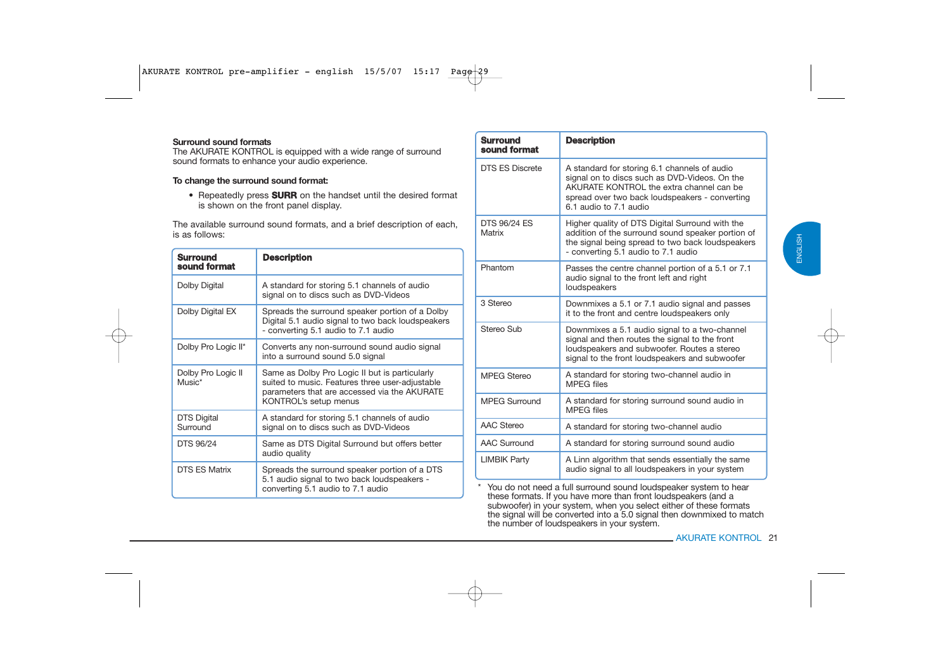#### **Surround sound formats**

 The AKURATE KONTROL is equipped with a wide range of surround sound formats to enhance your audio experience.

#### **To change the surround sound format:**

• Repeatedly press **SURR** on the handset until the desired format is shown on the front panel display.

The available surround sound formats, and a brief description of each, is as follows:

| <b>Surround</b><br>sound format                                                                                                                                                                               | <b>Description</b>                                                                                                                          |  |
|---------------------------------------------------------------------------------------------------------------------------------------------------------------------------------------------------------------|---------------------------------------------------------------------------------------------------------------------------------------------|--|
| Dolby Digital                                                                                                                                                                                                 | A standard for storing 5.1 channels of audio<br>signal on to discs such as DVD-Videos                                                       |  |
| Dolby Digital EX                                                                                                                                                                                              | Spreads the surround speaker portion of a Dolby<br>Digital 5.1 audio signal to two back loudspeakers<br>- converting 5.1 audio to 7.1 audio |  |
| Dolby Pro Logic II*                                                                                                                                                                                           | Converts any non-surround sound audio signal<br>into a surround sound 5.0 signal                                                            |  |
| Dolby Pro Logic II<br>Same as Dolby Pro Logic II but is particularly<br>$Music^*$<br>suited to music. Features three user-adjustable<br>parameters that are accessed via the AKURATE<br>KONTROL's setup menus |                                                                                                                                             |  |
| <b>DTS Digital</b><br>A standard for storing 5.1 channels of audio<br>signal on to discs such as DVD-Videos<br>Surround                                                                                       |                                                                                                                                             |  |
| DTS 96/24<br>Same as DTS Digital Surround but offers better<br>audio quality                                                                                                                                  |                                                                                                                                             |  |
| <b>DTS ES Matrix</b>                                                                                                                                                                                          | Spreads the surround speaker portion of a DTS<br>5.1 audio signal to two back loudspeakers -<br>converting 5.1 audio to 7.1 audio           |  |

| <b>Surround</b><br>sound format                                                                                                                                                                                | <b>Description</b>                                                                                                                                                                                                    |                     |
|----------------------------------------------------------------------------------------------------------------------------------------------------------------------------------------------------------------|-----------------------------------------------------------------------------------------------------------------------------------------------------------------------------------------------------------------------|---------------------|
| <b>DTS ES Discrete</b>                                                                                                                                                                                         | A standard for storing 6.1 channels of audio<br>signal on to discs such as DVD-Videos. On the<br>AKURATE KONTROL the extra channel can be<br>spread over two back loudspeakers - converting<br>6.1 audio to 7.1 audio |                     |
| <b>DTS 96/24 ES</b><br>Matrix                                                                                                                                                                                  | Higher quality of DTS Digital Surround with the<br>addition of the surround sound speaker portion of<br>the signal being spread to two back loudspeakers<br>- converting 5.1 audio to 7.1 audio                       |                     |
| Phantom                                                                                                                                                                                                        | Passes the centre channel portion of a 5.1 or 7.1<br>audio signal to the front left and right<br>loudspeakers                                                                                                         |                     |
| 3 Stereo                                                                                                                                                                                                       | Downmixes a 5.1 or 7.1 audio signal and passes<br>it to the front and centre loudspeakers only                                                                                                                        |                     |
| Stereo Sub<br>Downmixes a 5.1 audio signal to a two-channel<br>signal and then routes the signal to the front<br>loudspeakers and subwoofer. Routes a stereo<br>signal to the front loudspeakers and subwoofer |                                                                                                                                                                                                                       |                     |
| <b>MPEG Stereo</b>                                                                                                                                                                                             | A standard for storing two-channel audio in<br><b>MPEG</b> files                                                                                                                                                      |                     |
| <b>MPEG Surround</b><br>A standard for storing surround sound audio in<br><b>MPEG</b> files                                                                                                                    |                                                                                                                                                                                                                       |                     |
| <b>AAC Stereo</b><br>A standard for storing two-channel audio<br><b>AAC Surround</b><br>A standard for storing surround sound audio                                                                            |                                                                                                                                                                                                                       |                     |
|                                                                                                                                                                                                                |                                                                                                                                                                                                                       | <b>LIMBIK Party</b> |

these formats. If you have more than front loudspeakers (and a subwoofer) in your system, when you select either of these formats the signal will be converted into a 5.0 signal then downmixed to match the number of loudspeakers in your system.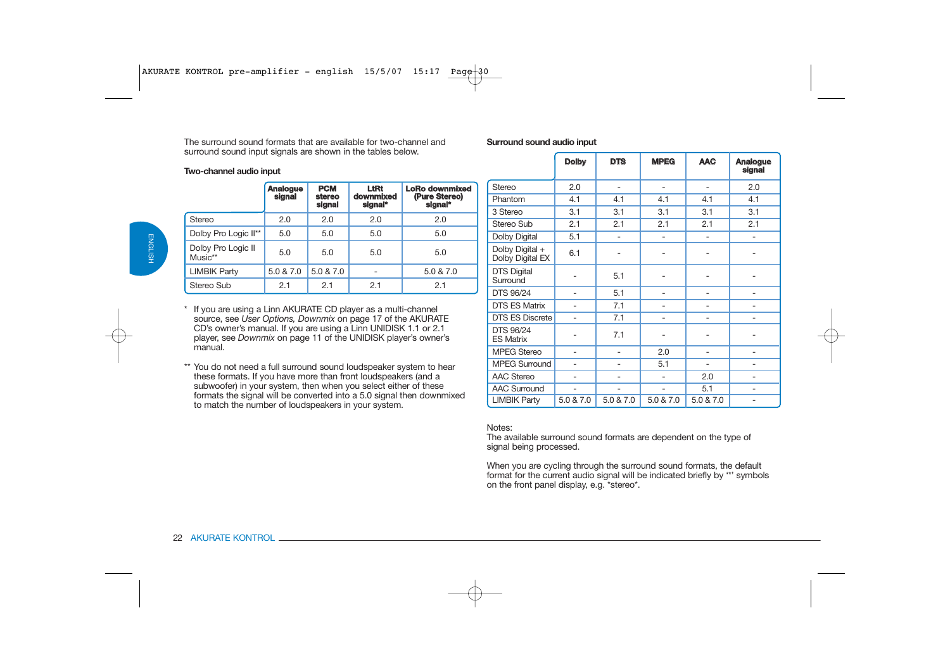The surround sound formats that are available for two-channel andsurround sound input signals are shown in the tables below.

#### **Two-channel audio input**

|                               | <b>Analogue</b><br>signal | <b>PCM</b><br>stereo<br>signal | LtRt<br>downmixed<br>signal* | <b>LoRo downmixed</b><br>(Pure Stereo)<br>signal* |
|-------------------------------|---------------------------|--------------------------------|------------------------------|---------------------------------------------------|
| <b>Stereo</b>                 | 2.0                       | 2.0                            | 2.0                          | 2.0                                               |
| Dolby Pro Logic II**          | 5.0                       | 5.0                            | 5.0                          | 5.0                                               |
| Dolby Pro Logic II<br>Music** | 5.0                       | 5.0                            | 5.0                          | 5.0                                               |
| <b>LIMBIK Party</b>           | 5.0 & 7.0                 | 5.0 & 7.0                      |                              | 5.0 & 7.0                                         |
| Stereo Sub                    | 2.1                       | 2.1                            | 2.1                          | 2.1                                               |

- \* If you are using a Linn AKURATE CD player as a multi-channel source, see *User Options, Downmix* on page 17 of the AKURATE CD's owner's manual. If you are using a Linn UNIDISK 1.1 or 2.1 player, see *Downmix* on page 11 of the UNIDISK player's owner's manual.
- \*\* You do not need a full surround sound loudspeaker system to hear these formats. If you have more than front loudspeakers (and a subwoofer) in your system, then when you select either of these formats the signal will be converted into a 5.0 signal then downmixed to match the number of loudspeakers in your system.

#### **Surround sound audio input**

|                                     | <b>Dolby</b>   | <b>DTS</b>               | <b>MPEG</b>       | <b>AAC</b>                   | <b>Analogue</b><br>signal |
|-------------------------------------|----------------|--------------------------|-------------------|------------------------------|---------------------------|
| Stereo                              | 2.0            | $\overline{\phantom{0}}$ | $\qquad \qquad -$ | $\overline{a}$               | 2.0                       |
| Phantom                             | 4.1            | 4.1                      | 4.1               | 4.1                          | 4.1                       |
| 3 Stereo                            | 3.1            | 3.1                      | 3.1               | 3.1                          | 3.1                       |
| Stereo Sub                          | 2.1            | 2.1                      | 2.1               | 2.1                          | 2.1                       |
| <b>Dolby Digital</b>                | 5.1            |                          |                   | $\overline{a}$               | $\overline{a}$            |
| Dolby Digital +<br>Dolby Digital EX | 6.1            |                          |                   |                              |                           |
| <b>DTS Digital</b><br>Surround      |                | 5.1                      |                   |                              |                           |
| DTS 96/24                           |                | 5.1                      | ٠                 | $\overline{a}$               |                           |
| <b>DTS ES Matrix</b>                |                | 7.1                      |                   | -                            |                           |
| <b>DTS ES Discrete</b>              | $\overline{a}$ | 7.1                      | $\qquad \qquad -$ | -                            | $\overline{\phantom{0}}$  |
| DTS 96/24<br><b>ES Matrix</b>       |                | 7.1                      |                   |                              |                           |
| <b>MPEG Stereo</b>                  | $\overline{a}$ | $\overline{\phantom{0}}$ | 2.0               | $\qquad \qquad \blacksquare$ | $\overline{\phantom{0}}$  |
| <b>MPEG Surround</b>                |                |                          | 5.1               | -                            |                           |
| <b>AAC Stereo</b>                   |                |                          |                   | 2.0                          | $\overline{a}$            |
| <b>AAC Surround</b>                 |                |                          |                   | 5.1                          | $\overline{a}$            |
| <b>LIMBIK Party</b>                 | 5.0 & 7.0      | 5.0 & 7.0                | 5.0 & 7.0         | 5.0 & 7.0                    | -                         |

#### Notes:

The available surround sound formats are dependent on the type of signal being processed.

When you are cycling through the surround sound formats, the default format for the current audio signal will be indicated briefly by '\*' symbols on the front panel display, e.g. \*stereo\*.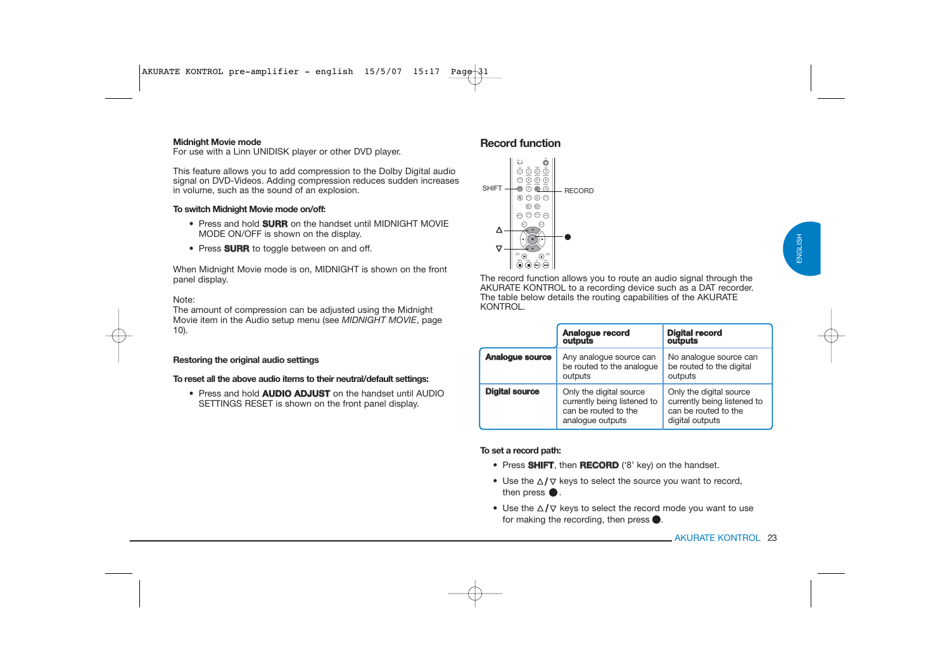#### **Midnight Movie mode**

For use with a Linn UNIDISK player or other DVD player.

This feature allows you to add compression to the Dolby Digital audio signal on DVD-Videos. Adding compression reduces sudden increases in volume, such as the sound of an explosion.

#### **To switch Midnight Movie mode on/off:**

- Press and hold **SURR** on the handset until MIDNIGHT MOVIE MODE ON/OFF is shown on the display.
- Press **SURR** to toggle between on and off.

When Midnight Movie mode is on, MIDNIGHT is shown on the front panel display.

#### Note:

The amount of compression can be adjusted using the Midnight Movie item in the Audio setup menu (see *MIDNIGHT MOVIE*, page 10).

#### **Restoring the original audio settings**

**To reset all the above audio items to their neutral/default settings:** 

• Press and hold **AUDIO ADJUST** on the handset until AUDIO SETTINGS RESET is shown on the front panel display.

### **Record function**



The record function allows you to route an audio signal through the AKURATE KONTROL to a recording device such as a DAT recorder. The table below details the routing capabilities of the AKURATE KONTROL.

|                       | Analogue record<br>outputs                                                                         | <b>Digital record</b><br>outputs                                                                  |
|-----------------------|----------------------------------------------------------------------------------------------------|---------------------------------------------------------------------------------------------------|
| Analogue source       | Any analogue source can<br>be routed to the analogue<br>outputs                                    | No analoque source can<br>be routed to the digital<br>outputs                                     |
| <b>Digital source</b> | Only the digital source<br>currently being listened to<br>can be routed to the<br>analogue outputs | Only the digital source<br>currently being listened to<br>can be routed to the<br>digital outputs |

#### **To set a record path:**

- Press **SHIFT**, then **RECORD** ('8' key) on the handset.
- Use the  $\triangle/\triangledown$  keys to select the source you want to record, then press  $\bullet$ .
- Use the  $\Delta/\nabla$  keys to select the record mode you want to use for making the recording, then press  $\bullet$ .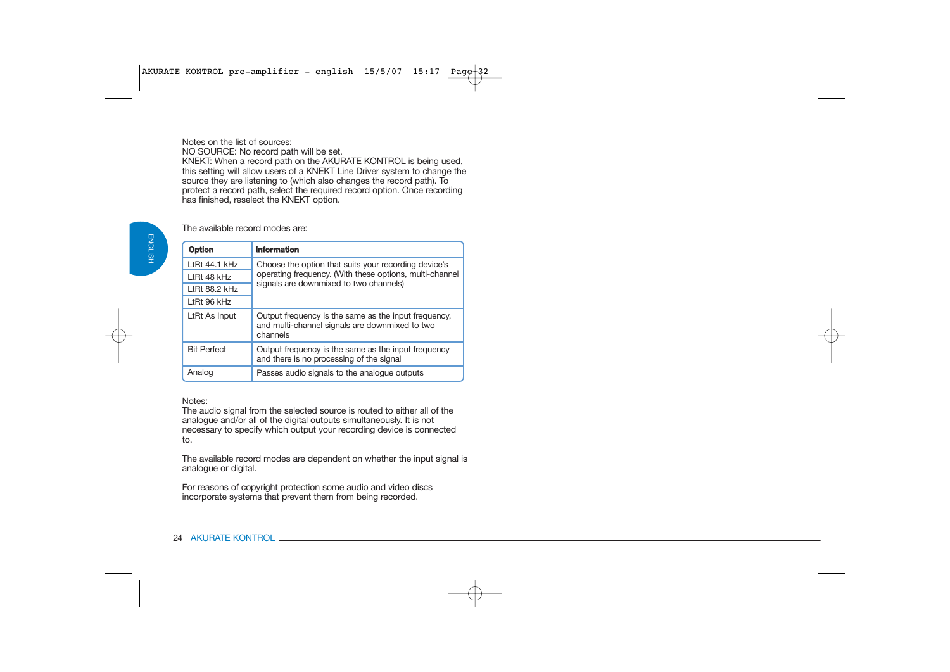Notes on the list of sources:

NO SOURCE: No record path will be set.

KNEKT: When a record path on the AKURATE KONTROL is being used, this setting will allow users of a KNEKT Line Driver system to change the source they are listening to (which also changes the record path). To protect a record path, select the required record option. Once recording has finished, reselect the KNEKT option.

The available record modes are:

| Option             | <b>Information</b>                                                                                                 |  |
|--------------------|--------------------------------------------------------------------------------------------------------------------|--|
| LtRt $44.1$ kHz    | Choose the option that suits your recording device's                                                               |  |
| LtRt 48 kHz        | operating frequency. (With these options, multi-channel                                                            |  |
| LtRt $88.2$ kHz    | signals are downmixed to two channels)                                                                             |  |
| LtRt 96 kHz        |                                                                                                                    |  |
| LtRt As Input      | Output frequency is the same as the input frequency.<br>and multi-channel signals are downmixed to two<br>channels |  |
| <b>Bit Perfect</b> | Output frequency is the same as the input frequency<br>and there is no processing of the signal                    |  |
| Analog             | Passes audio signals to the analogue outputs                                                                       |  |

#### Notes:

The audio signal from the selected source is routed to either all of the analogue and/or all of the digital outputs simultaneously. It is not necessary to specify which output your recording device is connected to.

The available record modes are dependent on whether the input signal is analogue or digital.

For reasons of copyright protection some audio and video discs incorporate systems that prevent them from being recorded.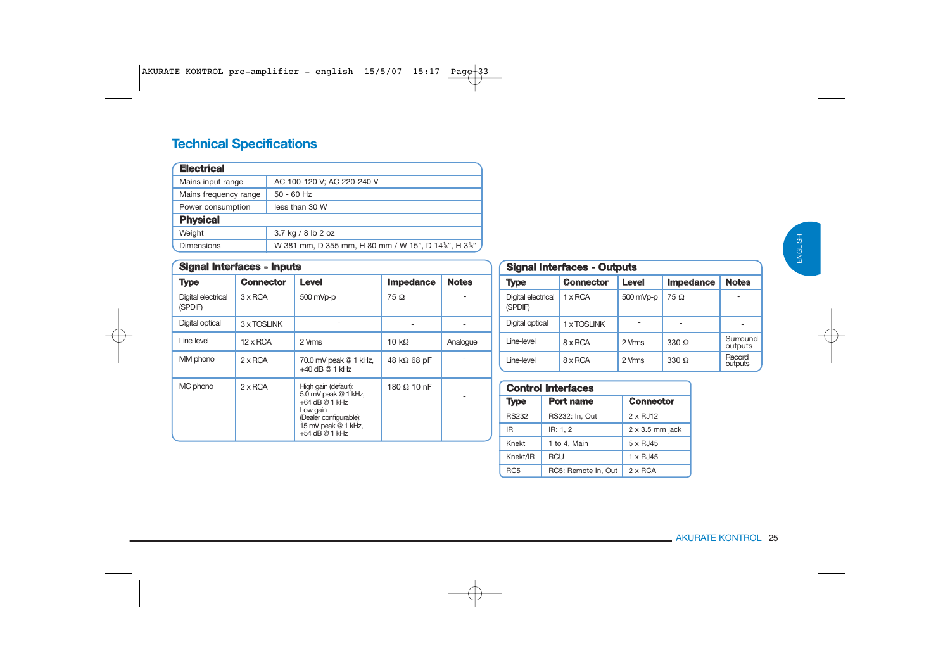# **Technical Specifications**

| <b>Electrical</b>     |                                                    |
|-----------------------|----------------------------------------------------|
| Mains input range     | AC 100-120 V; AC 220-240 V                         |
| Mains frequency range | $50 - 60$ Hz                                       |
| Power consumption     | less than 30 W                                     |
| <b>Physical</b>       |                                                    |
| Weight                | 3.7 kg / 8 lb 2 oz                                 |
| Dimensions            | W 381 mm, D 355 mm, H 80 mm / W 15", D 14%", H 3%" |

| <b>Signal Interfaces - Inputs</b> |                  |                                                                                                                                                   |                     |              |
|-----------------------------------|------------------|---------------------------------------------------------------------------------------------------------------------------------------------------|---------------------|--------------|
| Type                              | <b>Connector</b> | Level                                                                                                                                             | <b>Impedance</b>    | <b>Notes</b> |
| Digital electrical<br>(SPDIF)     | $3 \times RCA$   | 500 mVp-p                                                                                                                                         | $75\Omega$          |              |
| Digital optical                   | 3 x TOSLINK      |                                                                                                                                                   |                     |              |
| Line-level                        | $12 \times$ RCA  | 2 Vms                                                                                                                                             | 10 $k\Omega$        | Analogue     |
| MM phono                          | $2 \times RCA$   | 70.0 mV peak @ 1 kHz,<br>$+40$ dB @ 1 kHz                                                                                                         | 48 k $\Omega$ 68 pF |              |
| MC phono                          | $2 \times RCA$   | High gain (default):<br>5.0 mV peak @ 1 kHz,<br>$+64$ dB @ 1 kHz<br>Low gain<br>(Dealer configurable):<br>15 mV peak @ 1 kHz,<br>$+54$ dB @ 1 kHz | 180 $\Omega$ 10 nF  |              |

# **Signal Interfaces - Outputs**

| Type                          | <b>Connector</b> | Level     | <b>Impedance</b> | <b>Notes</b>        |
|-------------------------------|------------------|-----------|------------------|---------------------|
| Digital electrical<br>(SPDIF) | $1 \times RCA$   | 500 mVp-p | $75\Omega$       |                     |
| Digital optical               | 1 x TOSLINK      |           |                  |                     |
| Line-level                    | 8 x RCA          | 2 Vmms    | $330 \Omega$     | Surround<br>outputs |
| Line-level                    | 8 x RCA          | 2 Vrms    | $330 \Omega$     | Record<br>outputs   |

| <b>Control Interfaces</b> |                     |                        |  |
|---------------------------|---------------------|------------------------|--|
| <b>Type</b>               | <b>Port name</b>    | <b>Connector</b>       |  |
| <b>RS232</b>              | RS232: In, Out      | 2 x RJ12               |  |
| IR.                       | IR: 1.2             | $2 \times 3.5$ mm jack |  |
| Knekt                     | 1 to 4, Main        | 5 x RJ45               |  |
| Knekt/IR                  | RCU                 | 1 x RJ45               |  |
| RC <sub>5</sub>           | RC5: Remote In, Out | $2 \times RCA$         |  |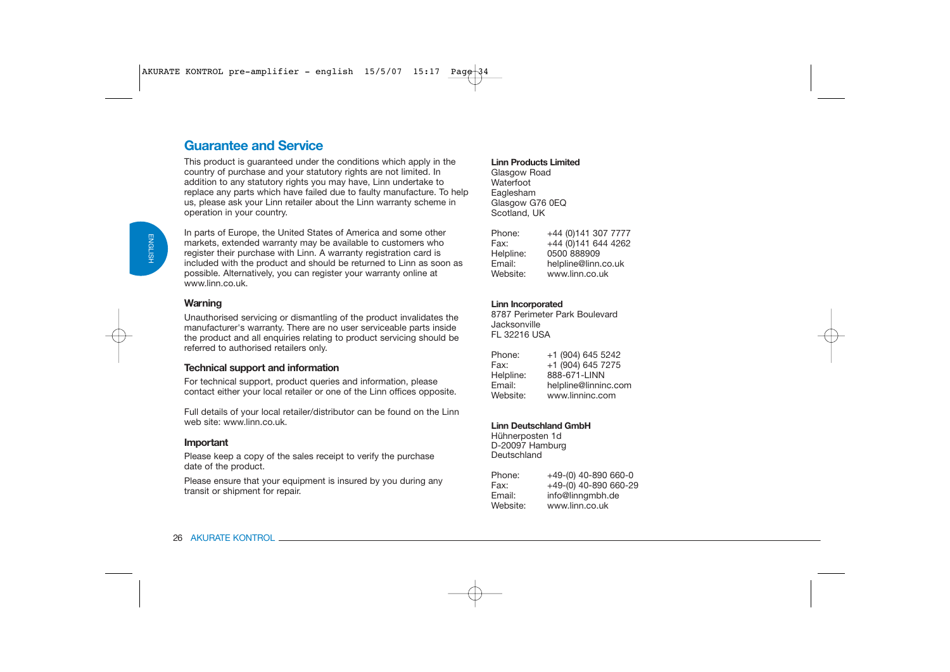# **Guarantee and Service**

This product is guaranteed under the conditions which apply in the country of purchase and your statutory rights are not limited. In addition to any statutory rights you may have, Linn undertake to replace any parts which have failed due to faulty manufacture. To help us, please ask your Linn retailer about the Linn warranty scheme in operation in your country.

In parts of Europe, the United States of America and some other markets, extended warranty may be available to customers who register their purchase with Linn. A warranty registration card is included with the product and should be returned to Linn as soon as possible. Alternatively, you can register your warranty online at www.linn.co.uk.

#### **Warning**

Unauthorised servicing or dismantling of the product invalidates the manufacturer's warranty. There are no user serviceable parts inside the product and all enquiries relating to product servicing should be referred to authorised retailers only.

### **Technical support and information**

For technical support, product queries and information, please contact either your local retailer or one of the Linn offices opposite.

Full details of your local retailer/distributor can be found on the Linn web site: www.linn.co.uk

### **Important**

Please keep a copy of the sales receipt to verify the purchase date of the product.

Please ensure that your equipment is insured by you during any transit or shipment for repair.

#### **Linn Products Limited**

Glasgow Road WaterfootEaglesham Glasgow G76 0FQ Scotland, UK

| +44 (0) 141 307 7777 |
|----------------------|
| +44 (0)141 644 4262  |
| 0500 888909          |
| helpline@linn.co.uk  |
| www.linn.co.uk       |
|                      |

#### **Linn Incorporated**

8787 Perimeter Park BoulevardJacksonvilleFL 32216 USA

| Phone:    | +1 (904) 645 5242    |
|-----------|----------------------|
| Fax:      | +1 (904) 645 7275    |
| Helpline: | 888-671-LINN         |
| Email:    | helpline@linninc.com |
| Website:  | www.linninc.com      |
|           |                      |

#### **Linn Deutschland GmbH**

Hühnerposten 1d D-20097 Hamburg **Deutschland** 

| Phone:   | +49-(0) 40-890 660-0  |
|----------|-----------------------|
| Fax:     | +49-(0) 40-890 660-29 |
| Email:   | info@linngmbh.de      |
| Website: | www.linn.co.uk        |